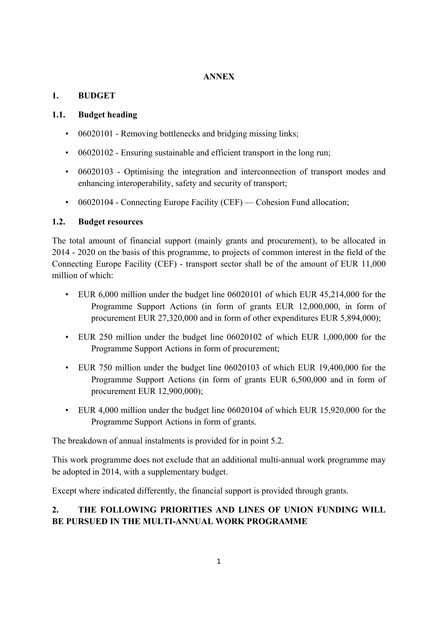### **ANNEX**

# **1. BUDGET**

## **1.1. Budget heading**

- 06020101 Removing bottlenecks and bridging missing links:
- 06020102 Ensuring sustainable and efficient transport in the long run;
- 06020103 Optimising the integration and interconnection of transport modes and enhancing interoperability, safety and security of transport;
- 06020104 Connecting Europe Facility (CEF) Cohesion Fund allocation;

# **1.2. Budget resources**

The total amount of financial support (mainly grants and procurement), to be allocated in 2014 - 2020 on the basis of this programme, to projects of common interest in the field of the Connecting Europe Facility (CEF) - transport sector shall be of the amount of EUR 11,000 million of which:

- EUR 6,000 million under the budget line 06020101 of which EUR 45,214,000 for the Programme Support Actions (in form of grants EUR 12,000,000, in form of procurement EUR 27,320,000 and in form of other expenditures EUR 5,894,000);
- EUR 250 million under the budget line 06020102 of which EUR 1,000,000 for the Programme Support Actions in form of procurement;
- EUR 750 million under the budget line 06020103 of which EUR 19,400,000 for the Programme Support Actions (in form of grants EUR 6,500,000 and in form of procurement EUR 12,900,000);
- EUR 4,000 million under the budget line 06020104 of which EUR 15,920,000 for the Programme Support Actions in form of grants.

The breakdown of annual instalments is provided for in point 5.2.

This work programme does not exclude that an additional multi-annual work programme may be adopted in 2014, with a supplementary budget.

Except where indicated differently, the financial support is provided through grants.

# **2. THE FOLLOWING PRIORITIES AND LINES OF UNION FUNDING WILL BE PURSUED IN THE MULTI-ANNUAL WORK PROGRAMME**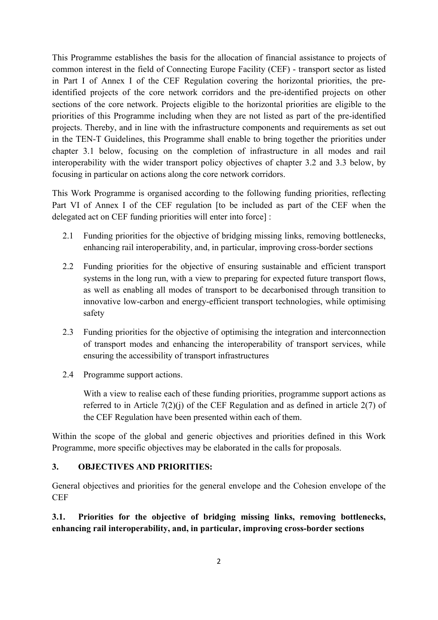This Programme establishes the basis for the allocation of financial assistance to projects of common interest in the field of Connecting Europe Facility (CEF) - transport sector as listed in Part I of Annex I of the CEF Regulation covering the horizontal priorities, the preidentified projects of the core network corridors and the pre-identified projects on other sections of the core network. Projects eligible to the horizontal priorities are eligible to the priorities of this Programme including when they are not listed as part of the pre-identified projects. Thereby, and in line with the infrastructure components and requirements as set out in the TEN-T Guidelines, this Programme shall enable to bring together the priorities under chapter 3.1 below, focusing on the completion of infrastructure in all modes and rail interoperability with the wider transport policy objectives of chapter 3.2 and 3.3 below, by focusing in particular on actions along the core network corridors.

This Work Programme is organised according to the following funding priorities, reflecting Part VI of Annex I of the CEF regulation [to be included as part of the CEF when the delegated act on CEF funding priorities will enter into force] :

- 2.1 Funding priorities for the objective of bridging missing links, removing bottlenecks, enhancing rail interoperability, and, in particular, improving cross-border sections
- 2.2 Funding priorities for the objective of ensuring sustainable and efficient transport systems in the long run, with a view to preparing for expected future transport flows, as well as enabling all modes of transport to be decarbonised through transition to innovative low-carbon and energy-efficient transport technologies, while optimising safety
- 2.3 Funding priorities for the objective of optimising the integration and interconnection of transport modes and enhancing the interoperability of transport services, while ensuring the accessibility of transport infrastructures
- 2.4 Programme support actions.

With a view to realise each of these funding priorities, programme support actions as referred to in Article  $7(2)(j)$  of the CEF Regulation and as defined in article  $2(7)$  of the CEF Regulation have been presented within each of them.

Within the scope of the global and generic objectives and priorities defined in this Work Programme, more specific objectives may be elaborated in the calls for proposals.

### **3. OBJECTIVES AND PRIORITIES:**

General objectives and priorities for the general envelope and the Cohesion envelope of the **CEF** 

**3.1. Priorities for the objective of bridging missing links, removing bottlenecks, enhancing rail interoperability, and, in particular, improving cross-border sections**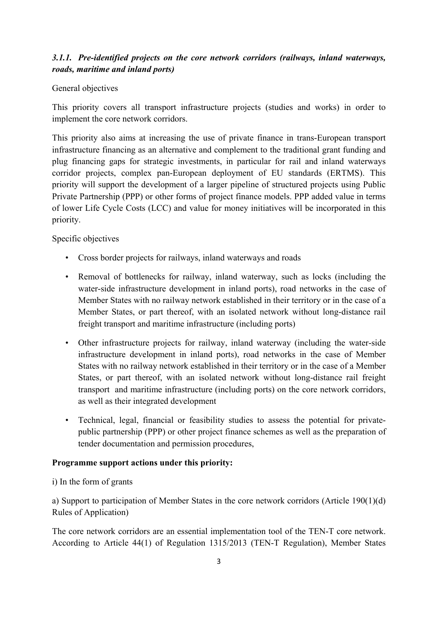# *3.1.1. Pre-identified projects on the core network corridors (railways, inland waterways, roads, maritime and inland ports)*

### General objectives

This priority covers all transport infrastructure projects (studies and works) in order to implement the core network corridors.

This priority also aims at increasing the use of private finance in trans-European transport infrastructure financing as an alternative and complement to the traditional grant funding and plug financing gaps for strategic investments, in particular for rail and inland waterways corridor projects, complex pan-European deployment of EU standards (ERTMS). This priority will support the development of a larger pipeline of structured projects using Public Private Partnership (PPP) or other forms of project finance models. PPP added value in terms of lower Life Cycle Costs (LCC) and value for money initiatives will be incorporated in this priority.

### Specific objectives

- Cross border projects for railways, inland waterways and roads
- Removal of bottlenecks for railway, inland waterway, such as locks (including the water-side infrastructure development in inland ports), road networks in the case of Member States with no railway network established in their territory or in the case of a Member States, or part thereof, with an isolated network without long-distance rail freight transport and maritime infrastructure (including ports)
- Other infrastructure projects for railway, inland waterway (including the water-side infrastructure development in inland ports), road networks in the case of Member States with no railway network established in their territory or in the case of a Member States, or part thereof, with an isolated network without long-distance rail freight transport and maritime infrastructure (including ports) on the core network corridors, as well as their integrated development
- Technical, legal, financial or feasibility studies to assess the potential for privatepublic partnership (PPP) or other project finance schemes as well as the preparation of tender documentation and permission procedures,

### **Programme support actions under this priority:**

i) In the form of grants

a) Support to participation of Member States in the core network corridors (Article 190(1)(d) Rules of Application)

The core network corridors are an essential implementation tool of the TEN-T core network. According to Article 44(1) of Regulation 1315/2013 (TEN-T Regulation), Member States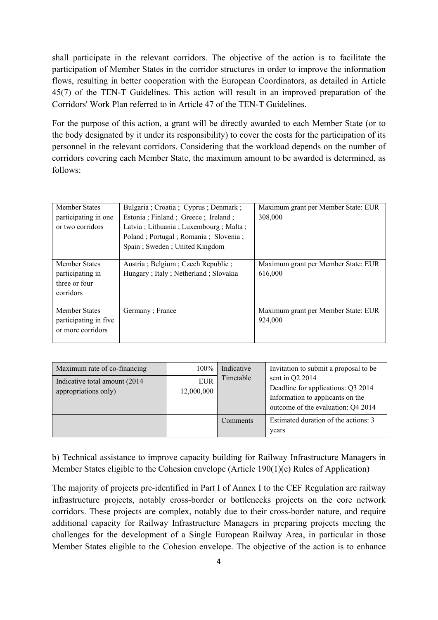shall participate in the relevant corridors. The objective of the action is to facilitate the participation of Member States in the corridor structures in order to improve the information flows, resulting in better cooperation with the European Coordinators, as detailed in Article 45(7) of the TEN-T Guidelines. This action will result in an improved preparation of the Corridors' Work Plan referred to in Article 47 of the TEN-T Guidelines.

For the purpose of this action, a grant will be directly awarded to each Member State (or to the body designated by it under its responsibility) to cover the costs for the participation of its personnel in the relevant corridors. Considering that the workload depends on the number of corridors covering each Member State, the maximum amount to be awarded is determined, as follows:

| <b>Member States</b>   | Bulgaria ; Croatia ; Cyprus ; Denmark ; | Maximum grant per Member State: EUR |
|------------------------|-----------------------------------------|-------------------------------------|
| participating in one   | Estonia ; Finland ; Greece ; Ireland ;  | 308,000                             |
| or two corridors       | Latvia; Lithuania; Luxembourg; Malta;   |                                     |
|                        | Poland; Portugal; Romania; Slovenia;    |                                     |
|                        | Spain; Sweden; United Kingdom           |                                     |
|                        |                                         |                                     |
| <b>Member States</b>   | Austria; Belgium; Czech Republic;       | Maximum grant per Member State: EUR |
| participating in       | Hungary; Italy; Netherland; Slovakia    | 616,000                             |
| three or four          |                                         |                                     |
| corridors              |                                         |                                     |
|                        |                                         |                                     |
| <b>Member States</b>   | Germany; France                         | Maximum grant per Member State: EUR |
| participating in five. |                                         | 924,000                             |
| or more corridors      |                                         |                                     |
|                        |                                         |                                     |

| Maximum rate of co-financing                           | 100%                     | Indicative      | Invitation to submit a proposal to be.                                                                                          |
|--------------------------------------------------------|--------------------------|-----------------|---------------------------------------------------------------------------------------------------------------------------------|
| Indicative total amount (2014)<br>appropriations only) | <b>EUR</b><br>12,000,000 | Timetable       | sent in Q2 2014<br>Deadline for applications: Q3 2014<br>Information to applicants on the<br>outcome of the evaluation: Q4 2014 |
|                                                        |                          | <b>Comments</b> | Estimated duration of the actions: 3<br>years                                                                                   |

b) Technical assistance to improve capacity building for Railway Infrastructure Managers in Member States eligible to the Cohesion envelope (Article 190(1)(c) Rules of Application)

The majority of projects pre-identified in Part I of Annex I to the CEF Regulation are railway infrastructure projects, notably cross-border or bottlenecks projects on the core network corridors. These projects are complex, notably due to their cross-border nature, and require additional capacity for Railway Infrastructure Managers in preparing projects meeting the challenges for the development of a Single European Railway Area, in particular in those Member States eligible to the Cohesion envelope. The objective of the action is to enhance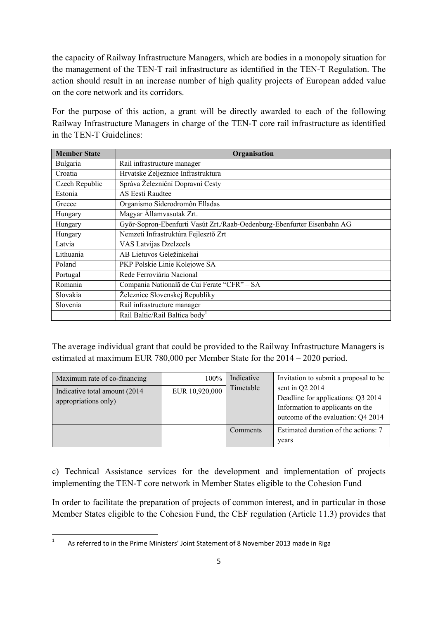the capacity of Railway Infrastructure Managers, which are bodies in a monopoly situation for the management of the TEN-T rail infrastructure as identified in the TEN-T Regulation. The action should result in an increase number of high quality projects of European added value on the core network and its corridors.

For the purpose of this action, a grant will be directly awarded to each of the following Railway Infrastructure Managers in charge of the TEN-T core rail infrastructure as identified in the TEN-T Guidelines:

| <b>Member State</b> | Organisation                                                            |  |  |
|---------------------|-------------------------------------------------------------------------|--|--|
| Bulgaria            | Rail infrastructure manager                                             |  |  |
| Croatia             | Hrvatske Željeznice Infrastruktura                                      |  |  |
| Czech Republic      | Správa Železniční Dopravní Cesty                                        |  |  |
| Estonia             | AS Eesti Raudtee                                                        |  |  |
| Greece              | Organismo Siderodromôn Elladas                                          |  |  |
| Hungary             | Magyar Államvasutak Zrt.                                                |  |  |
| Hungary             | Győr-Sopron-Ebenfurti Vasút Zrt./Raab-Oedenburg-Ebenfurter Eisenbahn AG |  |  |
| Hungary             | Nemzeti Infrastruktúra Fejlesztő Zrt                                    |  |  |
| Latvia              | VAS Latvijas Dzelzcels                                                  |  |  |
| Lithuania           | AB Lietuvos Geležinkeliai                                               |  |  |
| Poland              | PKP Polskie Linie Kolejowe SA                                           |  |  |
| Portugal            | Rede Ferroviária Nacional                                               |  |  |
| Romania             | Compania Natională de Cai Ferate "CFR" - SA                             |  |  |
| Slovakia            | Železnice Slovenskej Republiky                                          |  |  |
| Slovenia            | Rail infrastructure manager                                             |  |  |
|                     | Rail Baltic/Rail Baltica body <sup>1</sup>                              |  |  |

The average individual grant that could be provided to the Railway Infrastructure Managers is estimated at maximum EUR 780,000 per Member State for the 2014 – 2020 period.

| Maximum rate of co-financing                           | $100\%$        | Indicative | Invitation to submit a proposal to be                                                                                           |
|--------------------------------------------------------|----------------|------------|---------------------------------------------------------------------------------------------------------------------------------|
| Indicative total amount (2014)<br>appropriations only) | EUR 10,920,000 | Timetable  | sent in Q2 2014<br>Deadline for applications: Q3 2014<br>Information to applicants on the<br>outcome of the evaluation: Q4 2014 |
|                                                        |                | Comments   | Estimated duration of the actions: 7<br>years                                                                                   |

c) Technical Assistance services for the development and implementation of projects implementing the TEN-T core network in Member States eligible to the Cohesion Fund

In order to facilitate the preparation of projects of common interest, and in particular in those Member States eligible to the Cohesion Fund, the CEF regulation (Article 11.3) provides that

 $\frac{1}{1}$ 

As referred to in the Prime Ministers' Joint Statement of 8 November 2013 made in Riga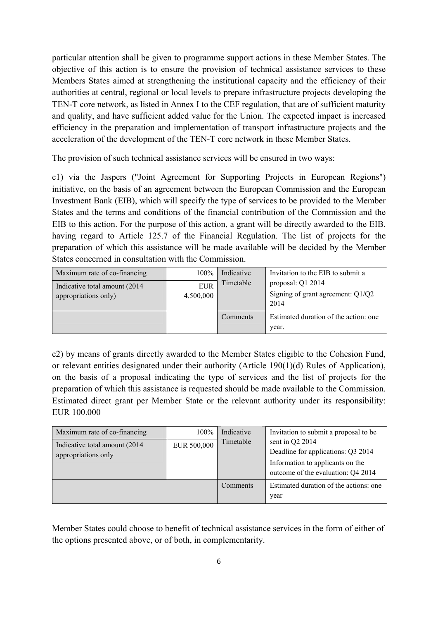particular attention shall be given to programme support actions in these Member States. The objective of this action is to ensure the provision of technical assistance services to these Members States aimed at strengthening the institutional capacity and the efficiency of their authorities at central, regional or local levels to prepare infrastructure projects developing the TEN-T core network, as listed in Annex I to the CEF regulation, that are of sufficient maturity and quality, and have sufficient added value for the Union. The expected impact is increased efficiency in the preparation and implementation of transport infrastructure projects and the acceleration of the development of the TEN-T core network in these Member States.

The provision of such technical assistance services will be ensured in two ways:

c1) via the Jaspers ("Joint Agreement for Supporting Projects in European Regions") initiative, on the basis of an agreement between the European Commission and the European Investment Bank (EIB), which will specify the type of services to be provided to the Member States and the terms and conditions of the financial contribution of the Commission and the EIB to this action. For the purpose of this action, a grant will be directly awarded to the EIB, having regard to Article 125.7 of the Financial Regulation. The list of projects for the preparation of which this assistance will be made available will be decided by the Member States concerned in consultation with the Commission.

| Maximum rate of co-financing                           | 100%                    | Indicative | Invitation to the EIB to submit a                                |
|--------------------------------------------------------|-------------------------|------------|------------------------------------------------------------------|
| Indicative total amount (2014)<br>appropriations only) | <b>EUR</b><br>4,500,000 | Timetable  | proposal: Q1 2014<br>Signing of grant agreement: $Q1/Q2$<br>2014 |
|                                                        |                         | Comments   | Estimated duration of the action: one<br>year.                   |

c2) by means of grants directly awarded to the Member States eligible to the Cohesion Fund, or relevant entities designated under their authority (Article 190(1)(d) Rules of Application), on the basis of a proposal indicating the type of services and the list of projects for the preparation of which this assistance is requested should be made available to the Commission. Estimated direct grant per Member State or the relevant authority under its responsibility: EUR 100.000

| Maximum rate of co-financing<br>Indicative total amount (2014)<br>appropriations only | 100%<br>EUR 500,000 | Indicative<br>Timetable | Invitation to submit a proposal to be.<br>sent in $Q2$ 2014<br>Deadline for applications: Q3 2014<br>Information to applicants on the<br>outcome of the evaluation: Q4 2014 |
|---------------------------------------------------------------------------------------|---------------------|-------------------------|-----------------------------------------------------------------------------------------------------------------------------------------------------------------------------|
|                                                                                       |                     | Comments                | Estimated duration of the actions: one<br>year                                                                                                                              |

Member States could choose to benefit of technical assistance services in the form of either of the options presented above, or of both, in complementarity.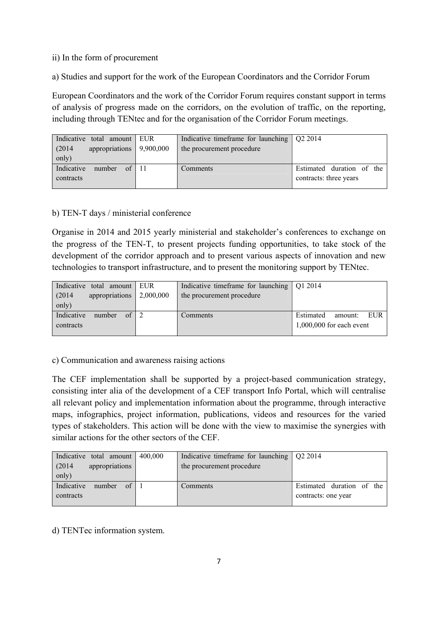#### ii) In the form of procurement

a) Studies and support for the work of the European Coordinators and the Corridor Forum

European Coordinators and the work of the Corridor Forum requires constant support in terms of analysis of progress made on the corridors, on the evolution of traffic, on the reporting, including through TENtec and for the organisation of the Corridor Forum meetings.

| Indicative total amount EUR           | Indicative timeframe for launching $\sqrt{Q}$ 2014 |                           |
|---------------------------------------|----------------------------------------------------|---------------------------|
| appropriations 9,900,000<br>(2014)    | the procurement procedure                          |                           |
| only)                                 |                                                    |                           |
| Indicative<br>of $\vert$ 11<br>number | Comments                                           | Estimated duration of the |
| contracts                             |                                                    | contracts: three years    |
|                                       |                                                    |                           |

#### b) TEN-T days / ministerial conference

Organise in 2014 and 2015 yearly ministerial and stakeholder's conferences to exchange on the progress of the TEN-T, to present projects funding opportunities, to take stock of the development of the corridor approach and to present various aspects of innovation and new technologies to transport infrastructure, and to present the monitoring support by TENtec.

| Indicative total amount EUR                      | Indicative timeframe for launching $\sqrt{Q}12014$ |                             |
|--------------------------------------------------|----------------------------------------------------|-----------------------------|
| appropriations $\vert 2,000,000 \vert$<br>(2014) | the procurement procedure                          |                             |
| only)                                            |                                                    |                             |
| Indicative<br>$\alpha$<br>number                 | Comments                                           | Estimated<br>EUR<br>amount: |
| contracts                                        |                                                    | $1,000,000$ for each event  |
|                                                  |                                                    |                             |

c) Communication and awareness raising actions

The CEF implementation shall be supported by a project-based communication strategy, consisting inter alia of the development of a CEF transport Info Portal, which will centralise all relevant policy and implementation information about the programme, through interactive maps, infographics, project information, publications, videos and resources for the varied types of stakeholders. This action will be done with the view to maximise the synergies with similar actions for the other sectors of the CEF.

| Indicative total amount<br>(2014)<br>appropriations | 400,000 | Indicative timeframe for launching $\sqrt{Q}$ 2014<br>the procurement procedure |                           |
|-----------------------------------------------------|---------|---------------------------------------------------------------------------------|---------------------------|
| only)                                               |         |                                                                                 |                           |
| Indicative<br>of<br>number                          |         | Comments                                                                        | Estimated duration of the |
| contracts                                           |         |                                                                                 | contracts: one year       |
|                                                     |         |                                                                                 |                           |

d) TENTec information system.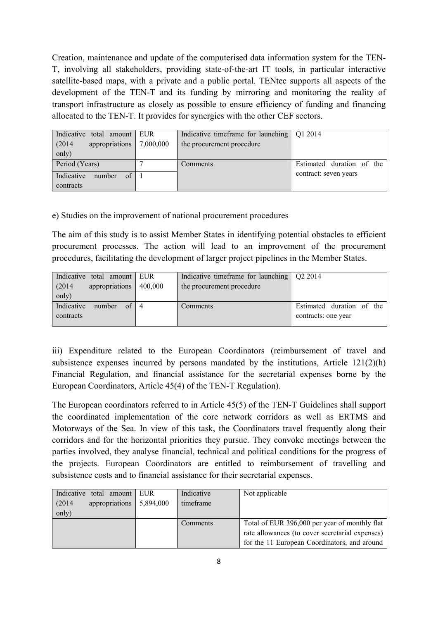Creation, maintenance and update of the computerised data information system for the TEN-T, involving all stakeholders, providing state-of-the-art IT tools, in particular interactive satellite-based maps, with a private and a public portal. TENtec supports all aspects of the development of the TEN-T and its funding by mirroring and monitoring the reality of transport infrastructure as closely as possible to ensure efficiency of funding and financing allocated to the TEN-T. It provides for synergies with the other CEF sectors.

| Indicative total amount EUR<br>appropriations<br>(2014)<br>only) | 7,000,000 | Indicative timeframe for launching $\sqrt{Q}$ Q1 2014<br>the procurement procedure |                           |
|------------------------------------------------------------------|-----------|------------------------------------------------------------------------------------|---------------------------|
| Period (Years)                                                   |           | Comments                                                                           | Estimated duration of the |
| Indicative<br>of<br>number<br>contracts                          |           |                                                                                    | contract: seven years     |

### e) Studies on the improvement of national procurement procedures

The aim of this study is to assist Member States in identifying potential obstacles to efficient procurement processes. The action will lead to an improvement of the procurement procedures, facilitating the development of larger project pipelines in the Member States.

| Indicative total amount EUR          |         | Indicative timeframe for launching $\sqrt{Q}$ 2014 |                           |
|--------------------------------------|---------|----------------------------------------------------|---------------------------|
| appropriations<br>(2014)             | 400,000 | the procurement procedure                          |                           |
| only)                                |         |                                                    |                           |
| Indicative<br>number<br>of $\vert 4$ |         | Comments                                           | Estimated duration of the |
| contracts                            |         |                                                    | contracts: one year       |
|                                      |         |                                                    |                           |

iii) Expenditure related to the European Coordinators (reimbursement of travel and subsistence expenses incurred by persons mandated by the institutions, Article 121(2)(h) Financial Regulation, and financial assistance for the secretarial expenses borne by the European Coordinators, Article 45(4) of the TEN-T Regulation).

The European coordinators referred to in Article 45(5) of the TEN-T Guidelines shall support the coordinated implementation of the core network corridors as well as ERTMS and Motorways of the Sea. In view of this task, the Coordinators travel frequently along their corridors and for the horizontal priorities they pursue. They convoke meetings between the parties involved, they analyse financial, technical and political conditions for the progress of the projects. European Coordinators are entitled to reimbursement of travelling and subsistence costs and to financial assistance for their secretarial expenses.

| Indicative<br>total amount | EUR       | Indicative | Not applicable                                  |
|----------------------------|-----------|------------|-------------------------------------------------|
| appropriations<br>(2014)   | 5,894,000 | timeframe  |                                                 |
| only)                      |           |            |                                                 |
|                            |           | Comments   | Total of EUR 396,000 per year of monthly flat   |
|                            |           |            | rate allowances (to cover secretarial expenses) |
|                            |           |            | for the 11 European Coordinators, and around    |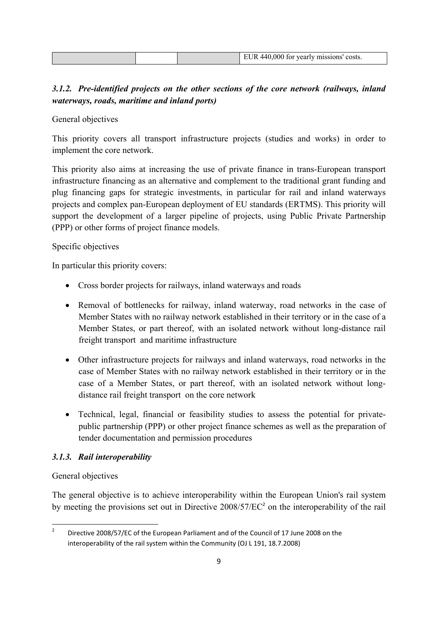|  | EUR 440,000 for yearly missions' costs. |
|--|-----------------------------------------|

# *3.1.2. Pre-identified projects on the other sections of the core network (railways, inland waterways, roads, maritime and inland ports)*

General objectives

This priority covers all transport infrastructure projects (studies and works) in order to implement the core network.

This priority also aims at increasing the use of private finance in trans-European transport infrastructure financing as an alternative and complement to the traditional grant funding and plug financing gaps for strategic investments, in particular for rail and inland waterways projects and complex pan-European deployment of EU standards (ERTMS). This priority will support the development of a larger pipeline of projects, using Public Private Partnership (PPP) or other forms of project finance models.

### Specific objectives

In particular this priority covers:

- Cross border projects for railways, inland waterways and roads
- Removal of bottlenecks for railway, inland waterway, road networks in the case of Member States with no railway network established in their territory or in the case of a Member States, or part thereof, with an isolated network without long-distance rail freight transport and maritime infrastructure
- Other infrastructure projects for railways and inland waterways, road networks in the case of Member States with no railway network established in their territory or in the case of a Member States, or part thereof, with an isolated network without longdistance rail freight transport on the core network
- Technical, legal, financial or feasibility studies to assess the potential for privatepublic partnership (PPP) or other project finance schemes as well as the preparation of tender documentation and permission procedures

# *3.1.3. Rail interoperability*

# General objectives

The general objective is to achieve interoperability within the European Union's rail system by meeting the provisions set out in Directive  $2008/57/EC^2$  on the interoperability of the rail

 $\frac{1}{2}$  Directive 2008/57/EC of the European Parliament and of the Council of 17 June 2008 on the interoperability of the rail system within the Community (OJ L 191, 18.7.2008)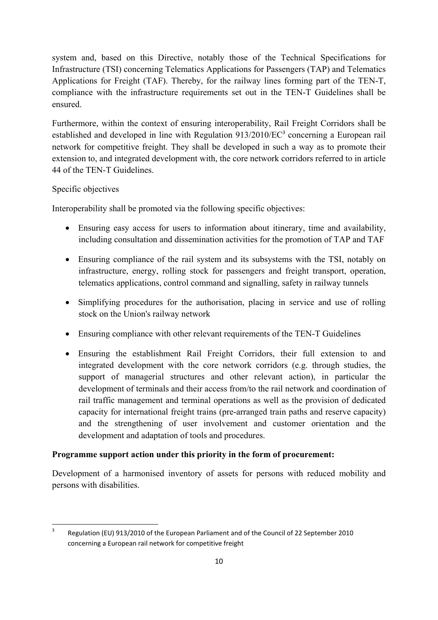system and, based on this Directive, notably those of the Technical Specifications for Infrastructure (TSI) concerning Telematics Applications for Passengers (TAP) and Telematics Applications for Freight (TAF). Thereby, for the railway lines forming part of the TEN-T, compliance with the infrastructure requirements set out in the TEN-T Guidelines shall be ensured.

Furthermore, within the context of ensuring interoperability, Rail Freight Corridors shall be established and developed in line with Regulation  $913/2010/EC^3$  concerning a European rail network for competitive freight. They shall be developed in such a way as to promote their extension to, and integrated development with, the core network corridors referred to in article 44 of the TEN-T Guidelines.

### Specific objectives

Interoperability shall be promoted via the following specific objectives:

- Ensuring easy access for users to information about itinerary, time and availability, including consultation and dissemination activities for the promotion of TAP and TAF
- Ensuring compliance of the rail system and its subsystems with the TSI, notably on infrastructure, energy, rolling stock for passengers and freight transport, operation, telematics applications, control command and signalling, safety in railway tunnels
- Simplifying procedures for the authorisation, placing in service and use of rolling stock on the Union's railway network
- Ensuring compliance with other relevant requirements of the TEN-T Guidelines
- Ensuring the establishment Rail Freight Corridors, their full extension to and integrated development with the core network corridors (e.g. through studies, the support of managerial structures and other relevant action), in particular the development of terminals and their access from/to the rail network and coordination of rail traffic management and terminal operations as well as the provision of dedicated capacity for international freight trains (pre-arranged train paths and reserve capacity) and the strengthening of user involvement and customer orientation and the development and adaptation of tools and procedures.

### **Programme support action under this priority in the form of procurement:**

Development of a harmonised inventory of assets for persons with reduced mobility and persons with disabilities.

 $\frac{1}{3}$  Regulation (EU) 913/2010 of the European Parliament and of the Council of 22 September 2010 concerning a European rail network for competitive freight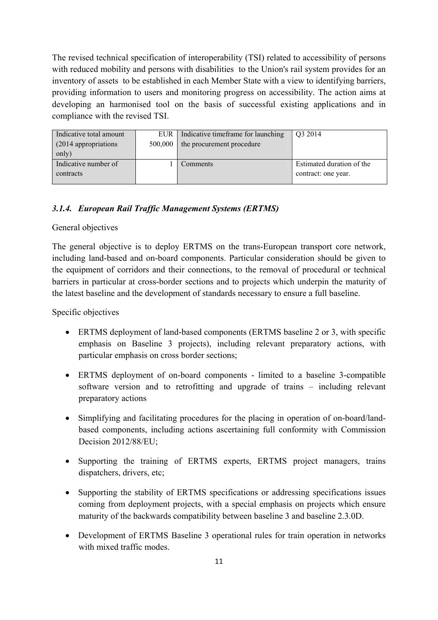The revised technical specification of interoperability (TSI) related to accessibility of persons with reduced mobility and persons with disabilities to the Union's rail system provides for an inventory of assets to be established in each Member State with a view to identifying barriers, providing information to users and monitoring progress on accessibility. The action aims at developing an harmonised tool on the basis of successful existing applications and in compliance with the revised TSI.

| Indicative total amount | EUR     | Indicative timeframe for launching | Q3 2014                   |
|-------------------------|---------|------------------------------------|---------------------------|
| (2014 appropriations)   | 500,000 | the procurement procedure          |                           |
| only)                   |         |                                    |                           |
| Indicative number of    |         | Comments                           | Estimated duration of the |
| contracts               |         |                                    | contract: one year.       |
|                         |         |                                    |                           |

### *3.1.4. European Rail Traffic Management Systems (ERTMS)*

#### General objectives

The general objective is to deploy ERTMS on the trans-European transport core network, including land-based and on-board components. Particular consideration should be given to the equipment of corridors and their connections, to the removal of procedural or technical barriers in particular at cross-border sections and to projects which underpin the maturity of the latest baseline and the development of standards necessary to ensure a full baseline.

Specific objectives

- ERTMS deployment of land-based components (ERTMS baseline 2 or 3, with specific emphasis on Baseline 3 projects), including relevant preparatory actions, with particular emphasis on cross border sections;
- ERTMS deployment of on-board components limited to a baseline 3-compatible software version and to retrofitting and upgrade of trains – including relevant preparatory actions
- Simplifying and facilitating procedures for the placing in operation of on-board/landbased components, including actions ascertaining full conformity with Commission Decision 2012/88/EU;
- Supporting the training of ERTMS experts, ERTMS project managers, trains dispatchers, drivers, etc;
- Supporting the stability of ERTMS specifications or addressing specifications issues coming from deployment projects, with a special emphasis on projects which ensure maturity of the backwards compatibility between baseline 3 and baseline 2.3.0D.
- Development of ERTMS Baseline 3 operational rules for train operation in networks with mixed traffic modes.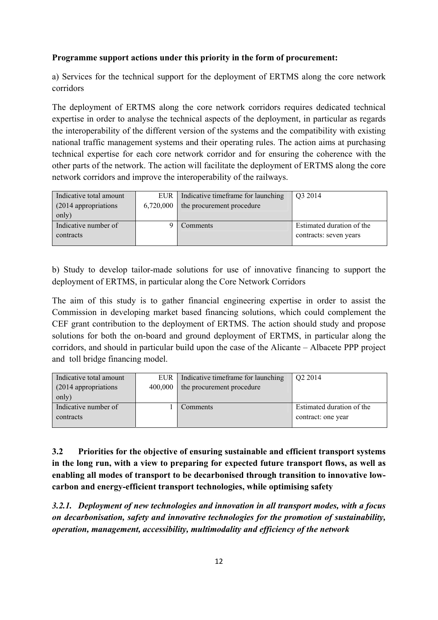### **Programme support actions under this priority in the form of procurement:**

a) Services for the technical support for the deployment of ERTMS along the core network corridors

The deployment of ERTMS along the core network corridors requires dedicated technical expertise in order to analyse the technical aspects of the deployment, in particular as regards the interoperability of the different version of the systems and the compatibility with existing national traffic management systems and their operating rules. The action aims at purchasing technical expertise for each core network corridor and for ensuring the coherence with the other parts of the network. The action will facilitate the deployment of ERTMS along the core network corridors and improve the interoperability of the railways.

| Indicative total amount<br>(2014 appropriations) | <b>EUR</b><br>6,720,000 | Indicative timeframe for launching<br>the procurement procedure | Q3 2014                   |
|--------------------------------------------------|-------------------------|-----------------------------------------------------------------|---------------------------|
| only)                                            |                         |                                                                 |                           |
| Indicative number of                             |                         | Comments                                                        | Estimated duration of the |
| contracts                                        |                         |                                                                 | contracts: seven years    |
|                                                  |                         |                                                                 |                           |

b) Study to develop tailor-made solutions for use of innovative financing to support the deployment of ERTMS, in particular along the Core Network Corridors

The aim of this study is to gather financial engineering expertise in order to assist the Commission in developing market based financing solutions, which could complement the CEF grant contribution to the deployment of ERTMS. The action should study and propose solutions for both the on-board and ground deployment of ERTMS, in particular along the corridors, and should in particular build upon the case of the Alicante – Albacete PPP project and toll bridge financing model.

| Indicative total amount |         | EUR   Indicative timeframe for launching | Q <sub>2</sub> 2014       |
|-------------------------|---------|------------------------------------------|---------------------------|
| (2014 appropriations)   | 400,000 | the procurement procedure                |                           |
| only)                   |         |                                          |                           |
| Indicative number of    |         | Comments                                 | Estimated duration of the |
| contracts               |         |                                          | contract: one year        |
|                         |         |                                          |                           |

**3.2 Priorities for the objective of ensuring sustainable and efficient transport systems in the long run, with a view to preparing for expected future transport flows, as well as enabling all modes of transport to be decarbonised through transition to innovative lowcarbon and energy-efficient transport technologies, while optimising safety** 

*3.2.1. Deployment of new technologies and innovation in all transport modes, with a focus on decarbonisation, safety and innovative technologies for the promotion of sustainability, operation, management, accessibility, multimodality and efficiency of the network*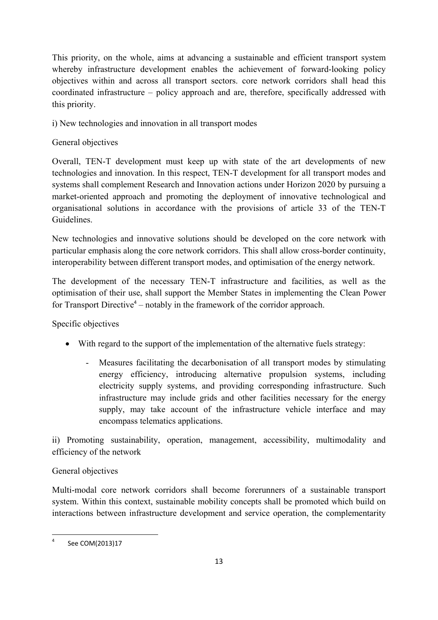This priority, on the whole, aims at advancing a sustainable and efficient transport system whereby infrastructure development enables the achievement of forward-looking policy objectives within and across all transport sectors. core network corridors shall head this coordinated infrastructure – policy approach and are, therefore, specifically addressed with this priority.

i) New technologies and innovation in all transport modes

# General objectives

Overall, TEN-T development must keep up with state of the art developments of new technologies and innovation. In this respect, TEN-T development for all transport modes and systems shall complement Research and Innovation actions under Horizon 2020 by pursuing a market-oriented approach and promoting the deployment of innovative technological and organisational solutions in accordance with the provisions of article 33 of the TEN-T Guidelines.

New technologies and innovative solutions should be developed on the core network with particular emphasis along the core network corridors. This shall allow cross-border continuity, interoperability between different transport modes, and optimisation of the energy network.

The development of the necessary TEN-T infrastructure and facilities, as well as the optimisation of their use, shall support the Member States in implementing the Clean Power for Transport Directive<sup>4</sup> – notably in the framework of the corridor approach.

Specific objectives

- With regard to the support of the implementation of the alternative fuels strategy:
	- Measures facilitating the decarbonisation of all transport modes by stimulating energy efficiency, introducing alternative propulsion systems, including electricity supply systems, and providing corresponding infrastructure. Such infrastructure may include grids and other facilities necessary for the energy supply, may take account of the infrastructure vehicle interface and may encompass telematics applications.

ii) Promoting sustainability, operation, management, accessibility, multimodality and efficiency of the network

# General objectives

Multi-modal core network corridors shall become forerunners of a sustainable transport system. Within this context, sustainable mobility concepts shall be promoted which build on interactions between infrastructure development and service operation, the complementarity

 $\frac{1}{4}$ See COM(2013)17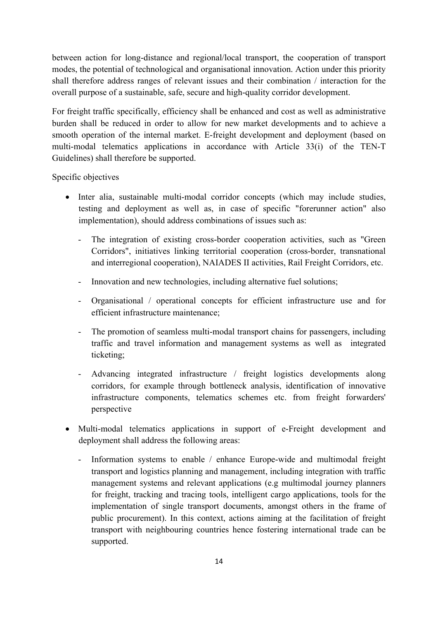between action for long-distance and regional/local transport, the cooperation of transport modes, the potential of technological and organisational innovation. Action under this priority shall therefore address ranges of relevant issues and their combination / interaction for the overall purpose of a sustainable, safe, secure and high-quality corridor development.

For freight traffic specifically, efficiency shall be enhanced and cost as well as administrative burden shall be reduced in order to allow for new market developments and to achieve a smooth operation of the internal market. E-freight development and deployment (based on multi-modal telematics applications in accordance with Article 33(i) of the TEN-T Guidelines) shall therefore be supported.

Specific objectives

- Inter alia, sustainable multi-modal corridor concepts (which may include studies, testing and deployment as well as, in case of specific "forerunner action" also implementation), should address combinations of issues such as:
	- The integration of existing cross-border cooperation activities, such as "Green" Corridors", initiatives linking territorial cooperation (cross-border, transnational and interregional cooperation), NAIADES II activities, Rail Freight Corridors, etc.
	- Innovation and new technologies, including alternative fuel solutions;
	- Organisational / operational concepts for efficient infrastructure use and for efficient infrastructure maintenance;
	- The promotion of seamless multi-modal transport chains for passengers, including traffic and travel information and management systems as well as integrated ticketing;
	- Advancing integrated infrastructure / freight logistics developments along corridors, for example through bottleneck analysis, identification of innovative infrastructure components, telematics schemes etc. from freight forwarders' perspective
- Multi-modal telematics applications in support of e-Freight development and deployment shall address the following areas:
	- Information systems to enable / enhance Europe-wide and multimodal freight transport and logistics planning and management, including integration with traffic management systems and relevant applications (e.g multimodal journey planners for freight, tracking and tracing tools, intelligent cargo applications, tools for the implementation of single transport documents, amongst others in the frame of public procurement). In this context, actions aiming at the facilitation of freight transport with neighbouring countries hence fostering international trade can be supported.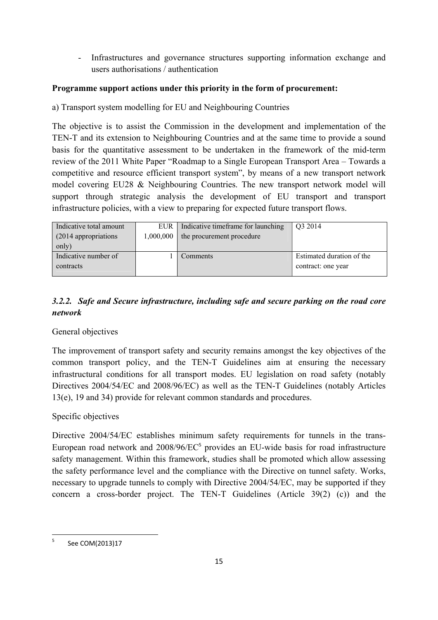- Infrastructures and governance structures supporting information exchange and users authorisations / authentication

## **Programme support actions under this priority in the form of procurement:**

a) Transport system modelling for EU and Neighbouring Countries

The objective is to assist the Commission in the development and implementation of the TEN-T and its extension to Neighbouring Countries and at the same time to provide a sound basis for the quantitative assessment to be undertaken in the framework of the mid-term review of the 2011 White Paper "Roadmap to a Single European Transport Area – Towards a competitive and resource efficient transport system", by means of a new transport network model covering EU28 & Neighbouring Countries. The new transport network model will support through strategic analysis the development of EU transport and transport infrastructure policies, with a view to preparing for expected future transport flows.

| Indicative total amount | EUR       | Indicative timeframe for launching | Q3 2014                   |
|-------------------------|-----------|------------------------------------|---------------------------|
| (2014 appropriations)   | 1,000,000 | the procurement procedure          |                           |
| only)                   |           |                                    |                           |
| Indicative number of    |           | Comments                           | Estimated duration of the |
| contracts               |           |                                    | contract: one year        |
|                         |           |                                    |                           |

# *3.2.2. Safe and Secure infrastructure, including safe and secure parking on the road core network*

# General objectives

The improvement of transport safety and security remains amongst the key objectives of the common transport policy, and the TEN-T Guidelines aim at ensuring the necessary infrastructural conditions for all transport modes. EU legislation on road safety (notably Directives 2004/54/EC and 2008/96/EC) as well as the TEN-T Guidelines (notably Articles 13(e), 19 and 34) provide for relevant common standards and procedures.

# Specific objectives

Directive 2004/54/EC establishes minimum safety requirements for tunnels in the trans-European road network and 2008/96/EC<sup>5</sup> provides an EU-wide basis for road infrastructure safety management. Within this framework, studies shall be promoted which allow assessing the safety performance level and the compliance with the Directive on tunnel safety. Works, necessary to upgrade tunnels to comply with Directive 2004/54/EC, may be supported if they concern a cross-border project. The TEN-T Guidelines (Article 39(2) (c)) and the

<sup>-&</sup>lt;br>5 See COM(2013)17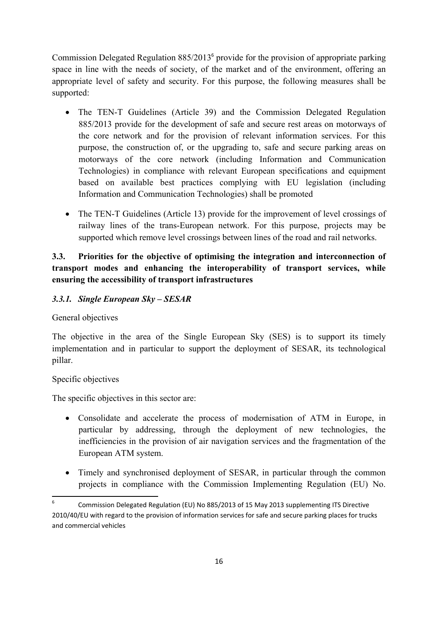Commission Delegated Regulation 885/2013<sup>6</sup> provide for the provision of appropriate parking space in line with the needs of society, of the market and of the environment, offering an appropriate level of safety and security. For this purpose, the following measures shall be supported:

- The TEN-T Guidelines (Article 39) and the Commission Delegated Regulation 885/2013 provide for the development of safe and secure rest areas on motorways of the core network and for the provision of relevant information services. For this purpose, the construction of, or the upgrading to, safe and secure parking areas on motorways of the core network (including Information and Communication Technologies) in compliance with relevant European specifications and equipment based on available best practices complying with EU legislation (including Information and Communication Technologies) shall be promoted
- The TEN-T Guidelines (Article 13) provide for the improvement of level crossings of railway lines of the trans-European network. For this purpose, projects may be supported which remove level crossings between lines of the road and rail networks.

# **3.3. Priorities for the objective of optimising the integration and interconnection of transport modes and enhancing the interoperability of transport services, while ensuring the accessibility of transport infrastructures**

# *3.3.1. Single European Sky – SESAR*

General objectives

The objective in the area of the Single European Sky (SES) is to support its timely implementation and in particular to support the deployment of SESAR, its technological pillar.

### Specific objectives

The specific objectives in this sector are:

- Consolidate and accelerate the process of modernisation of ATM in Europe, in particular by addressing, through the deployment of new technologies, the inefficiencies in the provision of air navigation services and the fragmentation of the European ATM system.
- Timely and synchronised deployment of SESAR, in particular through the common projects in compliance with the Commission Implementing Regulation (EU) No.

 $6 \overline{6}$ 6 Commission Delegated Regulation (EU) No 885/2013 of 15 May 2013 supplementing ITS Directive 2010/40/EU with regard to the provision of information services for safe and secure parking places for trucks and commercial vehicles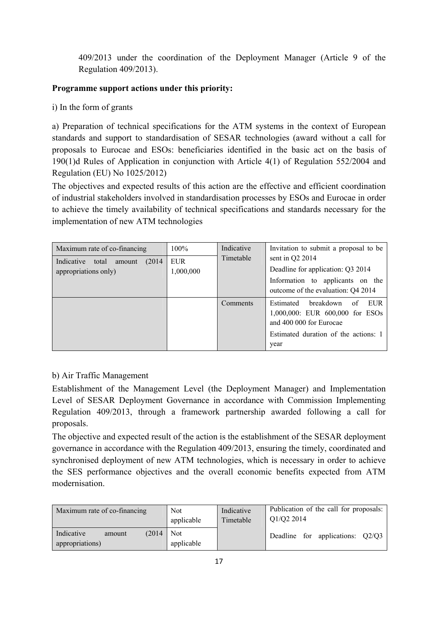409/2013 under the coordination of the Deployment Manager (Article 9 of the Regulation 409/2013).

# **Programme support actions under this priority:**

i) In the form of grants

a) Preparation of technical specifications for the ATM systems in the context of European standards and support to standardisation of SESAR technologies (award without a call for proposals to Eurocae and ESOs: beneficiaries identified in the basic act on the basis of 190(1)d Rules of Application in conjunction with Article 4(1) of Regulation 552/2004 and Regulation (EU) No 1025/2012)

The objectives and expected results of this action are the effective and efficient coordination of industrial stakeholders involved in standardisation processes by ESOs and Eurocae in order to achieve the timely availability of technical specifications and standards necessary for the implementation of new ATM technologies

| Maximum rate of co-financing                                    | $100\%$                 | Indicative<br>Timetable | Invitation to submit a proposal to be                                                                                                              |
|-----------------------------------------------------------------|-------------------------|-------------------------|----------------------------------------------------------------------------------------------------------------------------------------------------|
| (2014)<br>Indicative<br>total<br>amount<br>appropriations only) | <b>EUR</b><br>1,000,000 |                         | sent in Q2 2014<br>Deadline for application: Q3 2014<br>Information to applicants on the<br>outcome of the evaluation: Q4 2014                     |
|                                                                 |                         | Comments                | breakdown<br>Estimated<br>of<br>EUR.<br>1,000,000: EUR 600,000 for ESOs<br>and 400 000 for Eurocae<br>Estimated duration of the actions: 1<br>year |

# b) Air Traffic Management

Establishment of the Management Level (the Deployment Manager) and Implementation Level of SESAR Deployment Governance in accordance with Commission Implementing Regulation 409/2013, through a framework partnership awarded following a call for proposals.

The objective and expected result of the action is the establishment of the SESAR deployment governance in accordance with the Regulation 409/2013, ensuring the timely, coordinated and synchronised deployment of new ATM technologies, which is necessary in order to achieve the SES performance objectives and the overall economic benefits expected from ATM modernisation.

| Maximum rate of co-financing                      | Not                      | Indicative | Publication of the call for proposals: |
|---------------------------------------------------|--------------------------|------------|----------------------------------------|
|                                                   | applicable               | Timetable  | Q1/Q2 2014                             |
| Indicative<br>(2014)<br>amount<br>appropriations) | <b>Not</b><br>applicable |            | Deadline for applications: Q2/Q3       |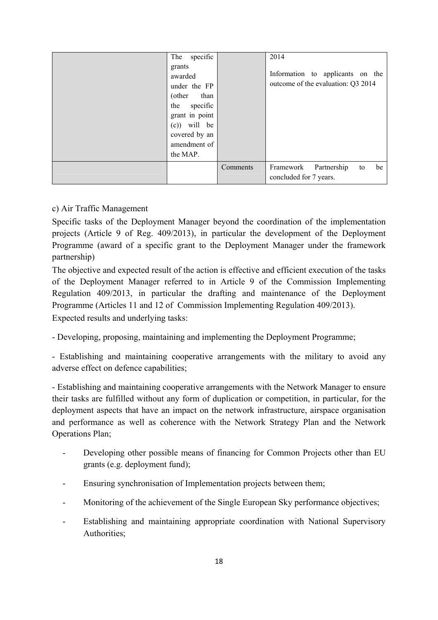| specific<br>The<br>grants<br>awarded<br>under the FP<br>than<br>(other<br>the specific |          | 2014<br>Information to applicants on the<br>outcome of the evaluation: Q3 2014 |
|----------------------------------------------------------------------------------------|----------|--------------------------------------------------------------------------------|
| grant in point<br>will be<br>(c))<br>covered by an<br>amendment of<br>the MAP.         |          |                                                                                |
|                                                                                        | Comments | Partnership<br>be<br>Framework<br>to<br>concluded for 7 years.                 |

### c) Air Traffic Management

Specific tasks of the Deployment Manager beyond the coordination of the implementation projects (Article 9 of Reg. 409/2013), in particular the development of the Deployment Programme (award of a specific grant to the Deployment Manager under the framework partnership)

The objective and expected result of the action is effective and efficient execution of the tasks of the Deployment Manager referred to in Article 9 of the Commission Implementing Regulation 409/2013, in particular the drafting and maintenance of the Deployment Programme (Articles 11 and 12 of Commission Implementing Regulation 409/2013).

Expected results and underlying tasks:

- Developing, proposing, maintaining and implementing the Deployment Programme;

- Establishing and maintaining cooperative arrangements with the military to avoid any adverse effect on defence capabilities;

- Establishing and maintaining cooperative arrangements with the Network Manager to ensure their tasks are fulfilled without any form of duplication or competition, in particular, for the deployment aspects that have an impact on the network infrastructure, airspace organisation and performance as well as coherence with the Network Strategy Plan and the Network Operations Plan;

- Developing other possible means of financing for Common Projects other than EU grants (e.g. deployment fund);
- Ensuring synchronisation of Implementation projects between them;
- Monitoring of the achievement of the Single European Sky performance objectives;
- Establishing and maintaining appropriate coordination with National Supervisory Authorities;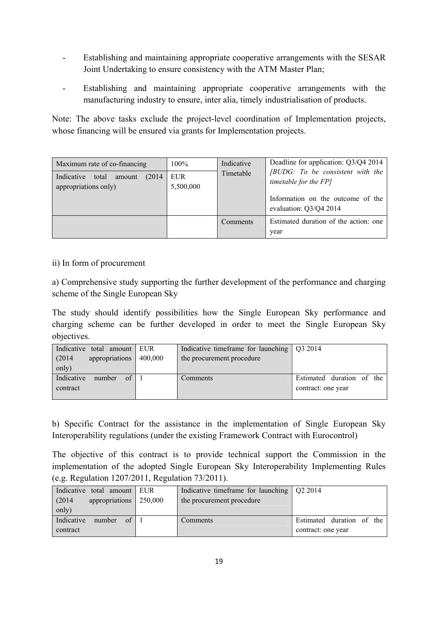- Establishing and maintaining appropriate cooperative arrangements with the SESAR Joint Undertaking to ensure consistency with the ATM Master Plan;
- Establishing and maintaining appropriate cooperative arrangements with the manufacturing industry to ensure, inter alia, timely industrialisation of products.

Note: The above tasks exclude the project-level coordination of Implementation projects, whose financing will be ensured via grants for Implementation projects.

| Maximum rate of co-financing<br>Indicative<br>(2014)<br>total<br>amount<br>appropriations only) | $100\%$<br>EUR.<br>5,500,000 | Indicative<br>Timetable | Deadline for application: Q3/Q4 2014<br>[BUDG: To be consistent with the<br>timetable for the FP]<br>Information on the outcome of the<br>evaluation: Q3/Q4 2014 |
|-------------------------------------------------------------------------------------------------|------------------------------|-------------------------|------------------------------------------------------------------------------------------------------------------------------------------------------------------|
|                                                                                                 |                              | Comments                | Estimated duration of the action: one<br>year                                                                                                                    |

### ii) In form of procurement

a) Comprehensive study supporting the further development of the performance and charging scheme of the Single European Sky

The study should identify possibilities how the Single European Sky performance and charging scheme can be further developed in order to meet the Single European Sky objectives.

| Indicative total amount EUR      |         | Indicative timeframe for launching $\sqrt{Q_3^2 + Q_2^2}$ |                           |
|----------------------------------|---------|-----------------------------------------------------------|---------------------------|
| appropriations<br>(2014)         | 400,000 | the procurement procedure                                 |                           |
| only)                            |         |                                                           |                           |
| $\alpha$<br>Indicative<br>number |         | Comments                                                  | Estimated duration of the |
| contract                         |         |                                                           | contract: one year        |
|                                  |         |                                                           |                           |

b) Specific Contract for the assistance in the implementation of Single European Sky Interoperability regulations (under the existing Framework Contract with Eurocontrol)

The objective of this contract is to provide technical support the Commission in the implementation of the adopted Single European Sky Interoperability Implementing Rules (e.g. Regulation 1207/2011, Regulation 73/2011).

| Indicative total amount EUR      |         | Indicative timeframe for launching $\sqrt{Q}$ 2014 |                           |
|----------------------------------|---------|----------------------------------------------------|---------------------------|
| appropriations<br>(2014)         | 250,000 | the procurement procedure                          |                           |
| only)                            |         |                                                    |                           |
| Indicative<br>$\Omega$<br>number |         | Comments                                           | Estimated duration of the |
| contract                         |         |                                                    | contract: one year        |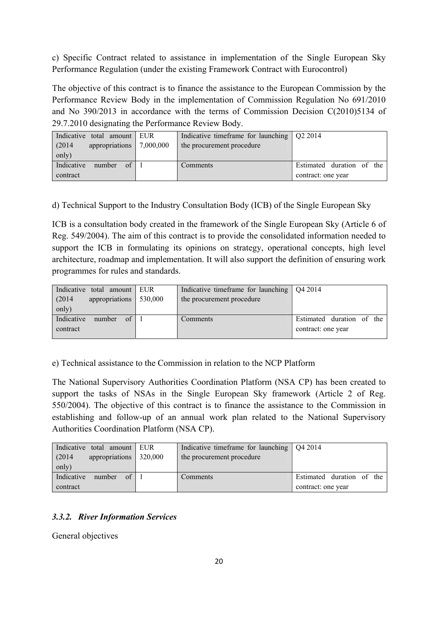c) Specific Contract related to assistance in implementation of the Single European Sky Performance Regulation (under the existing Framework Contract with Eurocontrol)

The objective of this contract is to finance the assistance to the European Commission by the Performance Review Body in the implementation of Commission Regulation No 691/2010 and No 390/2013 in accordance with the terms of Commission Decision C(2010)5134 of 29.7.2010 designating the Performance Review Body.

| Indicative total amount EUR      |           | Indicative timeframe for launching $\sqrt{Q}$ 2014 |                           |
|----------------------------------|-----------|----------------------------------------------------|---------------------------|
| appropriations<br>(2014)         | 7,000,000 | the procurement procedure                          |                           |
| only)                            |           |                                                    |                           |
| Indicative<br>number<br>$\Omega$ |           | Comments                                           | Estimated duration of the |
| contract                         |           |                                                    | contract: one year        |

d) Technical Support to the Industry Consultation Body (ICB) of the Single European Sky

ICB is a consultation body created in the framework of the Single European Sky (Article 6 of Reg. 549/2004). The aim of this contract is to provide the consolidated information needed to support the ICB in formulating its opinions on strategy, operational concepts, high level architecture, roadmap and implementation. It will also support the definition of ensuring work programmes for rules and standards.

| Indicative total amount EUR      |         | Indicative timeframe for launching | $\sqrt{042014}$           |
|----------------------------------|---------|------------------------------------|---------------------------|
| appropriations<br>(2014)         | 530,000 | the procurement procedure          |                           |
| only)                            |         |                                    |                           |
| Indicative<br>$\alpha$<br>number |         | Comments                           | Estimated duration of the |
| contract                         |         |                                    | contract: one year        |
|                                  |         |                                    |                           |

e) Technical assistance to the Commission in relation to the NCP Platform

The National Supervisory Authorities Coordination Platform (NSA CP) has been created to support the tasks of NSAs in the Single European Sky framework (Article 2 of Reg. 550/2004). The objective of this contract is to finance the assistance to the Commission in establishing and follow-up of an annual work plan related to the National Supervisory Authorities Coordination Platform (NSA CP).

| Indicative total amount EUR             | Indicative timeframe for launching $\sqrt{Q42014}$ |                           |
|-----------------------------------------|----------------------------------------------------|---------------------------|
| appropriations 320,000<br>(2014)        | the procurement procedure                          |                           |
| only)                                   |                                                    |                           |
| Indicative<br>$of \mid \cdot$<br>number | Comments                                           | Estimated duration of the |
| contract                                |                                                    | contract: one year        |

### *3.3.2. River Information Services*

General objectives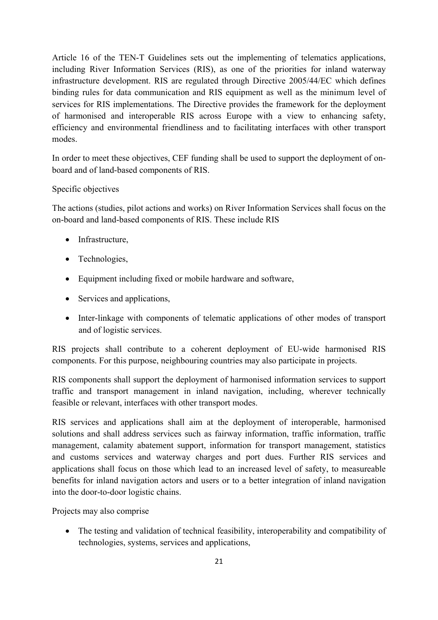Article 16 of the TEN-T Guidelines sets out the implementing of telematics applications, including River Information Services (RIS), as one of the priorities for inland waterway infrastructure development. RIS are regulated through Directive 2005/44/EC which defines binding rules for data communication and RIS equipment as well as the minimum level of services for RIS implementations. The Directive provides the framework for the deployment of harmonised and interoperable RIS across Europe with a view to enhancing safety, efficiency and environmental friendliness and to facilitating interfaces with other transport modes.

In order to meet these objectives, CEF funding shall be used to support the deployment of onboard and of land-based components of RIS.

### Specific objectives

The actions (studies, pilot actions and works) on River Information Services shall focus on the on-board and land-based components of RIS. These include RIS

- Infrastructure,
- Technologies,
- Equipment including fixed or mobile hardware and software,
- Services and applications,
- Inter-linkage with components of telematic applications of other modes of transport and of logistic services.

RIS projects shall contribute to a coherent deployment of EU-wide harmonised RIS components. For this purpose, neighbouring countries may also participate in projects.

RIS components shall support the deployment of harmonised information services to support traffic and transport management in inland navigation, including, wherever technically feasible or relevant, interfaces with other transport modes.

RIS services and applications shall aim at the deployment of interoperable, harmonised solutions and shall address services such as fairway information, traffic information, traffic management, calamity abatement support, information for transport management, statistics and customs services and waterway charges and port dues. Further RIS services and applications shall focus on those which lead to an increased level of safety, to measureable benefits for inland navigation actors and users or to a better integration of inland navigation into the door-to-door logistic chains.

Projects may also comprise

• The testing and validation of technical feasibility, interoperability and compatibility of technologies, systems, services and applications,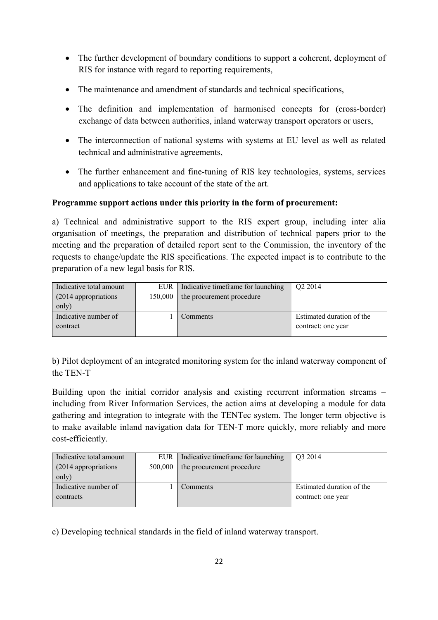- The further development of boundary conditions to support a coherent, deployment of RIS for instance with regard to reporting requirements,
- The maintenance and amendment of standards and technical specifications,
- The definition and implementation of harmonised concepts for (cross-border) exchange of data between authorities, inland waterway transport operators or users,
- The interconnection of national systems with systems at EU level as well as related technical and administrative agreements,
- The further enhancement and fine-tuning of RIS key technologies, systems, services and applications to take account of the state of the art.

# **Programme support actions under this priority in the form of procurement:**

a) Technical and administrative support to the RIS expert group, including inter alia organisation of meetings, the preparation and distribution of technical papers prior to the meeting and the preparation of detailed report sent to the Commission, the inventory of the requests to change/update the RIS specifications. The expected impact is to contribute to the preparation of a new legal basis for RIS.

| Indicative total amount | <b>EUR</b> | Indicative timeframe for launching | Q <sub>2</sub> 2014       |
|-------------------------|------------|------------------------------------|---------------------------|
| (2014 appropriations)   | 150,000    | the procurement procedure          |                           |
| only)                   |            |                                    |                           |
| Indicative number of    |            | Comments                           | Estimated duration of the |
| contract                |            |                                    | contract: one year        |
|                         |            |                                    |                           |

b) Pilot deployment of an integrated monitoring system for the inland waterway component of the TEN-T

Building upon the initial corridor analysis and existing recurrent information streams – including from River Information Services, the action aims at developing a module for data gathering and integration to integrate with the TENTec system. The longer term objective is to make available inland navigation data for TEN-T more quickly, more reliably and more cost-efficiently.

| Indicative total amount | EUR     | Indicative timeframe for launching | O <sub>3</sub> 2014       |
|-------------------------|---------|------------------------------------|---------------------------|
| (2014 appropriations)   | 500,000 | the procurement procedure          |                           |
| only)                   |         |                                    |                           |
| Indicative number of    |         | Comments                           | Estimated duration of the |
| contracts               |         |                                    | contract: one year        |
|                         |         |                                    |                           |

c) Developing technical standards in the field of inland waterway transport.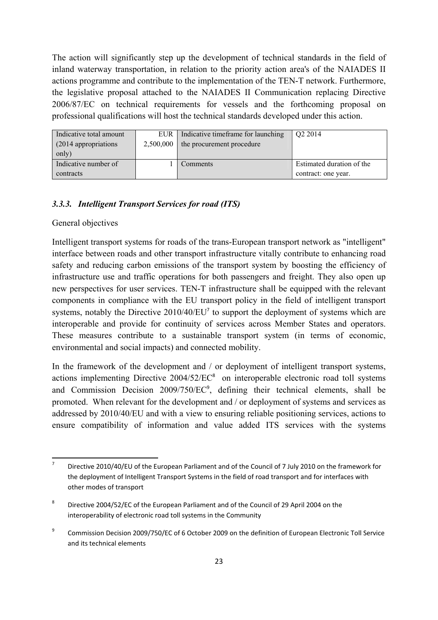The action will significantly step up the development of technical standards in the field of inland waterway transportation, in relation to the priority action area's of the NAIADES II actions programme and contribute to the implementation of the TEN-T network. Furthermore, the legislative proposal attached to the NAIADES II Communication replacing Directive 2006/87/EC on technical requirements for vessels and the forthcoming proposal on professional qualifications will host the technical standards developed under this action.

| Indicative total amount | <b>EUR</b> | Indicative time frame for launching | Q <sub>2</sub> 2014       |
|-------------------------|------------|-------------------------------------|---------------------------|
| (2014 appropriations)   | 2,500,000  | the procurement procedure           |                           |
| only)                   |            |                                     |                           |
| Indicative number of    |            | Comments                            | Estimated duration of the |
| contracts               |            |                                     | contract: one year.       |

#### *3.3.3. Intelligent Transport Services for road (ITS)*

#### General objectives

Intelligent transport systems for roads of the trans-European transport network as "intelligent" interface between roads and other transport infrastructure vitally contribute to enhancing road safety and reducing carbon emissions of the transport system by boosting the efficiency of infrastructure use and traffic operations for both passengers and freight. They also open up new perspectives for user services. TEN-T infrastructure shall be equipped with the relevant components in compliance with the EU transport policy in the field of intelligent transport systems, notably the Directive 2010/40/EU<sup>7</sup> to support the deployment of systems which are interoperable and provide for continuity of services across Member States and operators. These measures contribute to a sustainable transport system (in terms of economic, environmental and social impacts) and connected mobility.

In the framework of the development and / or deployment of intelligent transport systems, actions implementing Directive  $2004/52/EC^8$  on interoperable electronic road toll systems and Commission Decision 2009/750/EC<sup>9</sup>, defining their technical elements, shall be promoted. When relevant for the development and / or deployment of systems and services as addressed by 2010/40/EU and with a view to ensuring reliable positioning services, actions to ensure compatibility of information and value added ITS services with the systems

<sup>-&</sup>lt;br>7 Directive 2010/40/EU of the European Parliament and of the Council of 7 July 2010 on the framework for the deployment of Intelligent Transport Systems in the field of road transport and for interfaces with other modes of transport

<sup>8</sup> Directive 2004/52/EC of the European Parliament and of the Council of 29 April 2004 on the interoperability of electronic road toll systems in the Community

<sup>9</sup> Commission Decision 2009/750/EC of 6 October 2009 on the definition of European Electronic Toll Service and its technical elements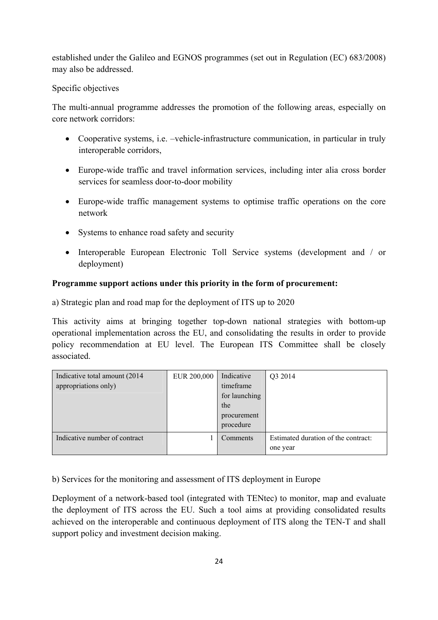established under the Galileo and EGNOS programmes (set out in Regulation (EC) 683/2008) may also be addressed.

### Specific objectives

The multi-annual programme addresses the promotion of the following areas, especially on core network corridors:

- Cooperative systems, i.e. –vehicle-infrastructure communication, in particular in truly interoperable corridors,
- Europe-wide traffic and travel information services, including inter alia cross border services for seamless door-to-door mobility
- Europe-wide traffic management systems to optimise traffic operations on the core network
- Systems to enhance road safety and security
- Interoperable European Electronic Toll Service systems (development and / or deployment)

### **Programme support actions under this priority in the form of procurement:**

a) Strategic plan and road map for the deployment of ITS up to 2020

This activity aims at bringing together top-down national strategies with bottom-up operational implementation across the EU, and consolidating the results in order to provide policy recommendation at EU level. The European ITS Committee shall be closely associated.

| Indicative total amount (2014)<br>appropriations only) | EUR 200,000 | Indicative<br>timeframe<br>for launching<br>the<br>procurement<br>procedure | Q3 2014                                         |
|--------------------------------------------------------|-------------|-----------------------------------------------------------------------------|-------------------------------------------------|
| Indicative number of contract                          |             | Comments                                                                    | Estimated duration of the contract:<br>one year |

b) Services for the monitoring and assessment of ITS deployment in Europe

Deployment of a network-based tool (integrated with TENtec) to monitor, map and evaluate the deployment of ITS across the EU. Such a tool aims at providing consolidated results achieved on the interoperable and continuous deployment of ITS along the TEN-T and shall support policy and investment decision making.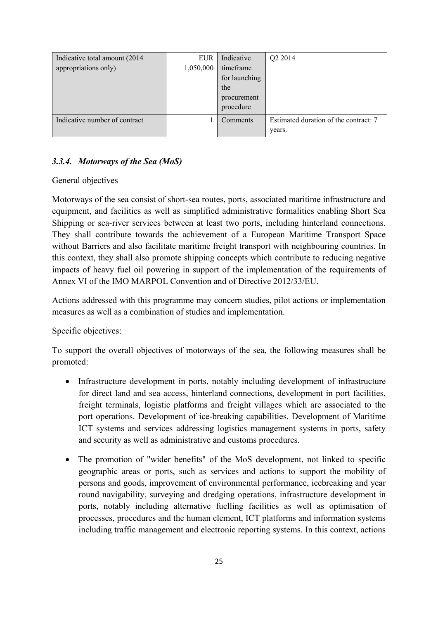| Indicative total amount (2014)<br>appropriations only) | EUR<br>1,050,000 | Indicative<br>timeframe<br>for launching<br>the<br>procurement<br>procedure | Q2 2014                                         |
|--------------------------------------------------------|------------------|-----------------------------------------------------------------------------|-------------------------------------------------|
| Indicative number of contract                          |                  | Comments                                                                    | Estimated duration of the contract: 7<br>years. |

# *3.3.4. Motorways of the Sea (MoS)*

#### General objectives

Motorways of the sea consist of short-sea routes, ports, associated maritime infrastructure and equipment, and facilities as well as simplified administrative formalities enabling Short Sea Shipping or sea-river services between at least two ports, including hinterland connections. They shall contribute towards the achievement of a European Maritime Transport Space without Barriers and also facilitate maritime freight transport with neighbouring countries. In this context, they shall also promote shipping concepts which contribute to reducing negative impacts of heavy fuel oil powering in support of the implementation of the requirements of Annex VI of the IMO MARPOL Convention and of Directive 2012/33/EU.

Actions addressed with this programme may concern studies, pilot actions or implementation measures as well as a combination of studies and implementation.

### Specific objectives:

To support the overall objectives of motorways of the sea, the following measures shall be promoted:

- Infrastructure development in ports, notably including development of infrastructure for direct land and sea access, hinterland connections, development in port facilities, freight terminals, logistic platforms and freight villages which are associated to the port operations. Development of ice-breaking capabilities. Development of Maritime ICT systems and services addressing logistics management systems in ports, safety and security as well as administrative and customs procedures.
- The promotion of "wider benefits" of the MoS development, not linked to specific geographic areas or ports, such as services and actions to support the mobility of persons and goods, improvement of environmental performance, icebreaking and year round navigability, surveying and dredging operations, infrastructure development in ports, notably including alternative fuelling facilities as well as optimisation of processes, procedures and the human element, ICT platforms and information systems including traffic management and electronic reporting systems. In this context, actions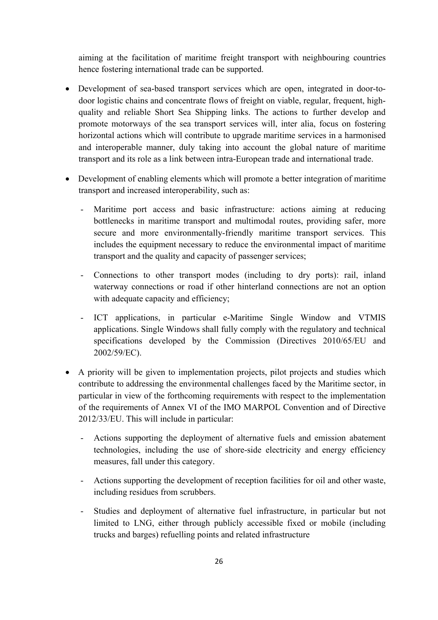aiming at the facilitation of maritime freight transport with neighbouring countries hence fostering international trade can be supported.

- Development of sea-based transport services which are open, integrated in door-todoor logistic chains and concentrate flows of freight on viable, regular, frequent, highquality and reliable Short Sea Shipping links. The actions to further develop and promote motorways of the sea transport services will, inter alia, focus on fostering horizontal actions which will contribute to upgrade maritime services in a harmonised and interoperable manner, duly taking into account the global nature of maritime transport and its role as a link between intra-European trade and international trade.
- Development of enabling elements which will promote a better integration of maritime transport and increased interoperability, such as:
	- Maritime port access and basic infrastructure: actions aiming at reducing bottlenecks in maritime transport and multimodal routes, providing safer, more secure and more environmentally-friendly maritime transport services. This includes the equipment necessary to reduce the environmental impact of maritime transport and the quality and capacity of passenger services;
	- Connections to other transport modes (including to dry ports): rail, inland waterway connections or road if other hinterland connections are not an option with adequate capacity and efficiency;
	- ICT applications, in particular e-Maritime Single Window and VTMIS applications. Single Windows shall fully comply with the regulatory and technical specifications developed by the Commission (Directives 2010/65/EU and 2002/59/EC).
- A priority will be given to implementation projects, pilot projects and studies which contribute to addressing the environmental challenges faced by the Maritime sector, in particular in view of the forthcoming requirements with respect to the implementation of the requirements of Annex VI of the IMO MARPOL Convention and of Directive 2012/33/EU. This will include in particular:
	- Actions supporting the deployment of alternative fuels and emission abatement technologies, including the use of shore-side electricity and energy efficiency measures, fall under this category.
	- Actions supporting the development of reception facilities for oil and other waste, including residues from scrubbers.
	- Studies and deployment of alternative fuel infrastructure, in particular but not limited to LNG, either through publicly accessible fixed or mobile (including trucks and barges) refuelling points and related infrastructure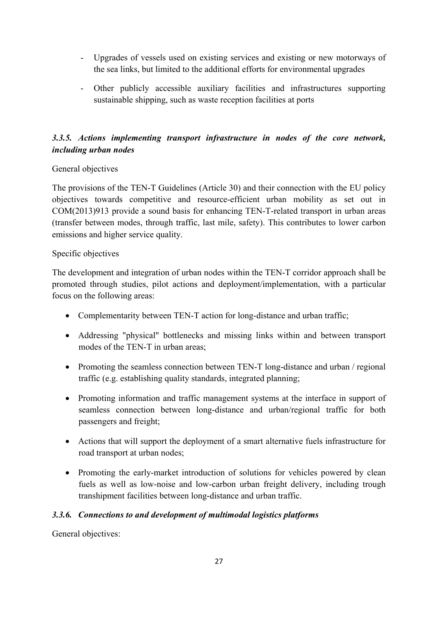- Upgrades of vessels used on existing services and existing or new motorways of the sea links, but limited to the additional efforts for environmental upgrades
- Other publicly accessible auxiliary facilities and infrastructures supporting sustainable shipping, such as waste reception facilities at ports

# *3.3.5. Actions implementing transport infrastructure in nodes of the core network, including urban nodes*

### General objectives

The provisions of the TEN-T Guidelines (Article 30) and their connection with the EU policy objectives towards competitive and resource-efficient urban mobility as set out in COM(2013)913 provide a sound basis for enhancing TEN-T-related transport in urban areas (transfer between modes, through traffic, last mile, safety). This contributes to lower carbon emissions and higher service quality.

### Specific objectives

The development and integration of urban nodes within the TEN-T corridor approach shall be promoted through studies, pilot actions and deployment/implementation, with a particular focus on the following areas:

- Complementarity between TEN-T action for long-distance and urban traffic;
- Addressing "physical" bottlenecks and missing links within and between transport modes of the TEN-T in urban areas;
- Promoting the seamless connection between TEN-T long-distance and urban / regional traffic (e.g. establishing quality standards, integrated planning;
- Promoting information and traffic management systems at the interface in support of seamless connection between long-distance and urban/regional traffic for both passengers and freight;
- Actions that will support the deployment of a smart alternative fuels infrastructure for road transport at urban nodes;
- Promoting the early-market introduction of solutions for vehicles powered by clean fuels as well as low-noise and low-carbon urban freight delivery, including trough transhipment facilities between long-distance and urban traffic.

# *3.3.6. Connections to and development of multimodal logistics platforms*

General objectives: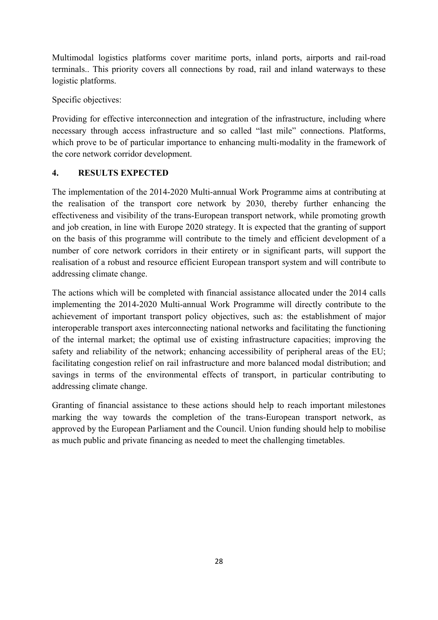Multimodal logistics platforms cover maritime ports, inland ports, airports and rail-road terminals.. This priority covers all connections by road, rail and inland waterways to these logistic platforms.

Specific objectives:

Providing for effective interconnection and integration of the infrastructure, including where necessary through access infrastructure and so called "last mile" connections. Platforms, which prove to be of particular importance to enhancing multi-modality in the framework of the core network corridor development.

### **4. RESULTS EXPECTED**

The implementation of the 2014-2020 Multi-annual Work Programme aims at contributing at the realisation of the transport core network by 2030, thereby further enhancing the effectiveness and visibility of the trans-European transport network, while promoting growth and job creation, in line with Europe 2020 strategy. It is expected that the granting of support on the basis of this programme will contribute to the timely and efficient development of a number of core network corridors in their entirety or in significant parts, will support the realisation of a robust and resource efficient European transport system and will contribute to addressing climate change.

The actions which will be completed with financial assistance allocated under the 2014 calls implementing the 2014-2020 Multi-annual Work Programme will directly contribute to the achievement of important transport policy objectives, such as: the establishment of major interoperable transport axes interconnecting national networks and facilitating the functioning of the internal market; the optimal use of existing infrastructure capacities; improving the safety and reliability of the network; enhancing accessibility of peripheral areas of the EU; facilitating congestion relief on rail infrastructure and more balanced modal distribution; and savings in terms of the environmental effects of transport, in particular contributing to addressing climate change.

Granting of financial assistance to these actions should help to reach important milestones marking the way towards the completion of the trans-European transport network, as approved by the European Parliament and the Council. Union funding should help to mobilise as much public and private financing as needed to meet the challenging timetables.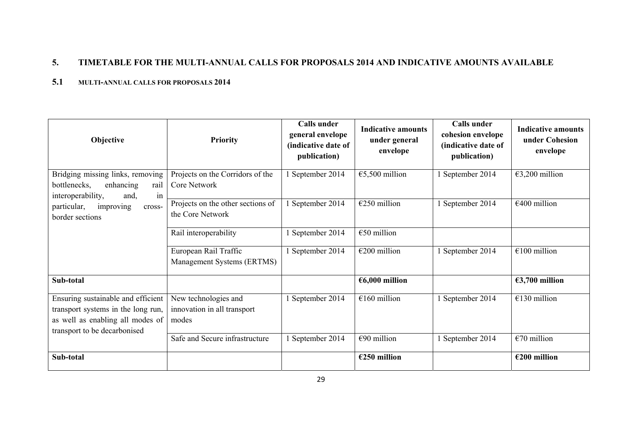# **5. TIMETABLE FOR THE MULTI-ANNUAL CALLS FOR PROPOSALS 2014 AND INDICATIVE AMOUNTS AVAILABLE**

#### **5.1 MULTI-ANNUAL CALLS FOR PROPOSALS 2014**

| Objective                                                                                                                                    | <b>Priority</b>                                              | <b>Calls</b> under<br>general envelope<br>(indicative date of<br>publication) | <b>Indicative amounts</b><br>under general<br>envelope | <b>Calls</b> under<br>cohesion envelope<br>(indicative date of<br>publication) | <b>Indicative amounts</b><br>under Cohesion<br>envelope |
|----------------------------------------------------------------------------------------------------------------------------------------------|--------------------------------------------------------------|-------------------------------------------------------------------------------|--------------------------------------------------------|--------------------------------------------------------------------------------|---------------------------------------------------------|
| Bridging missing links, removing<br>bottlenecks,<br>enhancing<br>rail<br>interoperability,<br>in<br>and,                                     | Projects on the Corridors of the<br>Core Network             | September 2014                                                                | €5,500 million                                         | 1 September 2014                                                               | €3,200 million                                          |
| particular,<br>improving<br>cross-<br>border sections                                                                                        | Projects on the other sections of<br>the Core Network        | September 2014                                                                | $E250$ million                                         | 1 September 2014                                                               | $€400$ million                                          |
|                                                                                                                                              | Rail interoperability                                        | September 2014                                                                | $€50$ million                                          |                                                                                |                                                         |
|                                                                                                                                              | European Rail Traffic<br>Management Systems (ERTMS)          | 1 September 2014                                                              | €200 million                                           | 1 September 2014                                                               | $\overline{\epsilon}$ 100 million                       |
| Sub-total                                                                                                                                    |                                                              |                                                                               | €6,000 million                                         |                                                                                | €3,700 million                                          |
| Ensuring sustainable and efficient<br>transport systems in the long run,<br>as well as enabling all modes of<br>transport to be decarbonised | New technologies and<br>innovation in all transport<br>modes | September 2014                                                                | $€160$ million                                         | 1 September 2014                                                               | $€130$ million                                          |
|                                                                                                                                              | Safe and Secure infrastructure                               | 1 September 2014                                                              | €90 million                                            | 1 September 2014                                                               | $€70$ million                                           |
| Sub-total                                                                                                                                    |                                                              |                                                                               | €250 million                                           |                                                                                | €200 million                                            |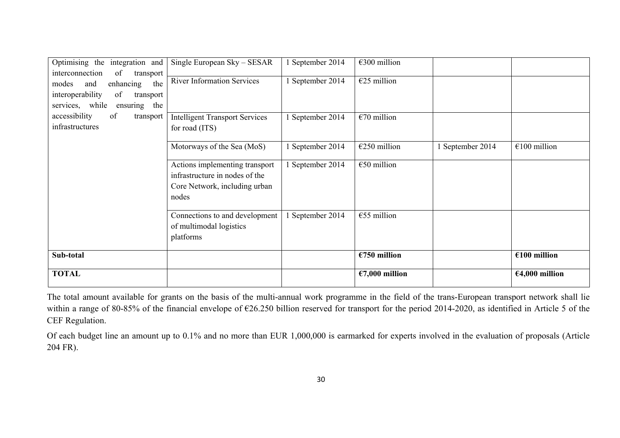| Optimising the<br>integration and                                                                                                                | Single European Sky - SESAR                                                                                | September 2014   | €300 million   |                  |                |
|--------------------------------------------------------------------------------------------------------------------------------------------------|------------------------------------------------------------------------------------------------------------|------------------|----------------|------------------|----------------|
| interconnection<br>of<br>transport<br>enhancing<br>the<br>modes<br>and<br>interoperability<br>of<br>transport<br>services, while<br>ensuring the | <b>River Information Services</b>                                                                          | September 2014   | $E25$ million  |                  |                |
| accessibility<br>of<br>transport<br>infrastructures                                                                                              | <b>Intelligent Transport Services</b><br>for road (ITS)                                                    | 1 September 2014 | $€70$ million  |                  |                |
|                                                                                                                                                  | Motorways of the Sea (MoS)                                                                                 | 1 September 2014 | €250 million   | 1 September 2014 | $€100$ million |
|                                                                                                                                                  | Actions implementing transport<br>infrastructure in nodes of the<br>Core Network, including urban<br>nodes | 1 September 2014 | $€50$ million  |                  |                |
|                                                                                                                                                  | Connections to and development<br>of multimodal logistics<br>platforms                                     | 1 September 2014 | $€55$ million  |                  |                |
| Sub-total                                                                                                                                        |                                                                                                            |                  | €750 million   |                  | $€100$ million |
| <b>TOTAL</b>                                                                                                                                     |                                                                                                            |                  | €7,000 million |                  | €4,000 million |

The total amount available for grants on the basis of the multi-annual work programme in the field of the trans-European transport network shall lie within a range of 80-85% of the financial envelope of €26.250 billion reserved for transport for the period 2014-2020, as identified in Article 5 of the CEF Regulation.

Of each budget line an amount up to 0.1% and no more than EUR 1,000,000 is earmarked for experts involved in the evaluation of proposals (Article 204 FR).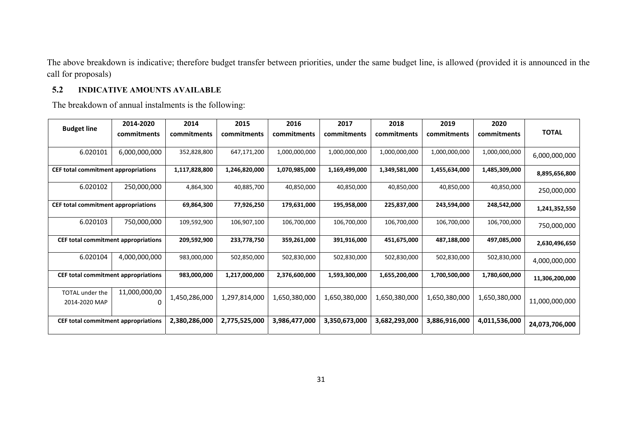The above breakdown is indicative; therefore budget transfer between priorities, under the same budget line, is allowed (provided it is announced in the call for proposals)

## **5.2 INDICATIVE AMOUNTS AVAILABLE**

The breakdown of annual instalments is the following:

|                                         | 2014-2020                 | 2014          | 2015          | 2016          | 2017          | 2018          | 2019          | 2020          |                |
|-----------------------------------------|---------------------------|---------------|---------------|---------------|---------------|---------------|---------------|---------------|----------------|
| <b>Budget line</b>                      | commitments               | commitments   | commitments   | commitments   | commitments   | commitments   | commitments   | commitments   | <b>TOTAL</b>   |
|                                         |                           |               |               |               |               |               |               |               |                |
| 6.020101                                | 6,000,000,000             | 352,828,800   | 647,171,200   | 1,000,000,000 | 1,000,000,000 | 1,000,000,000 | 1,000,000,000 | 1,000,000,000 | 6,000,000,000  |
| CEF total commitment appropriations     |                           | 1,117,828,800 | 1,246,820,000 | 1,070,985,000 | 1,169,499,000 | 1,349,581,000 | 1,455,634,000 | 1,485,309,000 | 8,895,656,800  |
| 6.020102                                | 250,000,000               | 4,864,300     | 40,885,700    | 40,850,000    | 40,850,000    | 40,850,000    | 40,850,000    | 40,850,000    | 250,000,000    |
| CEF total commitment appropriations     |                           | 69,864,300    | 77,926,250    | 179,631,000   | 195,958,000   | 225,837,000   | 243,594,000   | 248,542,000   | 1,241,352,550  |
| 6.020103                                | 750,000,000               | 109,592,900   | 106,907,100   | 106,700,000   | 106,700,000   | 106,700,000   | 106,700,000   | 106,700,000   | 750,000,000    |
| CEF total commitment appropriations     |                           | 209,592,900   | 233,778,750   | 359,261,000   | 391,916,000   | 451,675,000   | 487,188,000   | 497,085,000   | 2,630,496,650  |
| 6.020104                                | 4,000,000,000             | 983,000,000   | 502,850,000   | 502,830,000   | 502,830,000   | 502,830,000   | 502,830,000   | 502,830,000   | 4,000,000,000  |
| CEF total commitment appropriations     |                           | 983,000,000   | 1,217,000,000 | 2,376,600,000 | 1,593,300,000 | 1,655,200,000 | 1,700,500,000 | 1,780,600,000 | 11,306,200,000 |
| <b>TOTAL</b> under the<br>2014-2020 MAP | 11,000,000,00<br>$\Omega$ | 1,450,286,000 | 1,297,814,000 | 1,650,380,000 | 1,650,380,000 | 1,650,380,000 | 1,650,380,000 | 1,650,380,000 | 11,000,000,000 |
| CEF total commitment appropriations     |                           | 2,380,286,000 | 2,775,525,000 | 3,986,477,000 | 3,350,673,000 | 3,682,293,000 | 3,886,916,000 | 4,011,536,000 | 24,073,706,000 |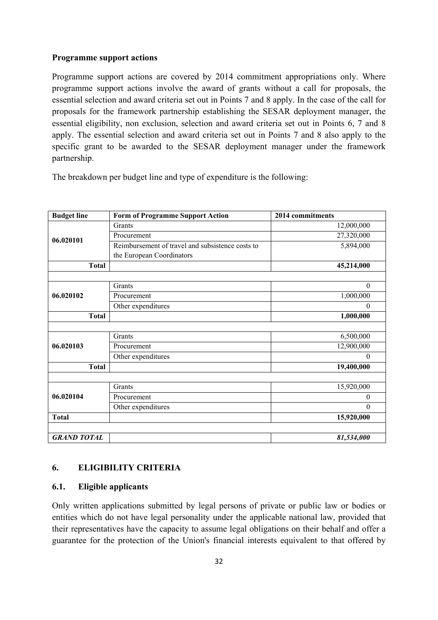#### **Programme support actions**

Programme support actions are covered by 2014 commitment appropriations only. Where programme support actions involve the award of grants without a call for proposals, the essential selection and award criteria set out in Points 7 and 8 apply. In the case of the call for proposals for the framework partnership establishing the SESAR deployment manager, the essential eligibility, non exclusion, selection and award criteria set out in Points 6, 7 and 8 apply. The essential selection and award criteria set out in Points 7 and 8 also apply to the specific grant to be awarded to the SESAR deployment manager under the framework partnership.

The breakdown per budget line and type of expenditure is the following:

| <b>Budget line</b> | <b>Form of Programme Support Action</b>          | 2014 commitments |
|--------------------|--------------------------------------------------|------------------|
|                    | Grants                                           | 12,000,000       |
| 06.020101          | Procurement                                      | 27,320,000       |
|                    | Reimbursement of travel and subsistence costs to | 5,894,000        |
|                    | the European Coordinators                        |                  |
| <b>Total</b>       |                                                  | 45,214,000       |
|                    |                                                  |                  |
|                    | Grants                                           | $\boldsymbol{0}$ |
| 06.020102          | Procurement                                      | 1,000,000        |
|                    | Other expenditures                               | $\theta$         |
| <b>Total</b>       |                                                  | 1,000,000        |
|                    |                                                  |                  |
|                    | Grants                                           | 6,500,000        |
| 06.020103          | Procurement                                      | 12,900,000       |
|                    | Other expenditures                               | $\theta$         |
| <b>Total</b>       |                                                  | 19,400,000       |
|                    |                                                  |                  |
|                    | Grants                                           | 15,920,000       |
| 06.020104          | Procurement                                      | $\theta$         |
|                    | Other expenditures                               | $\theta$         |
| <b>Total</b>       |                                                  | 15,920,000       |
|                    |                                                  |                  |
| <b>GRAND TOTAL</b> |                                                  | 81,534,000       |

# **6. ELIGIBILITY CRITERIA**

### **6.1. Eligible applicants**

Only written applications submitted by legal persons of private or public law or bodies or entities which do not have legal personality under the applicable national law, provided that their representatives have the capacity to assume legal obligations on their behalf and offer a guarantee for the protection of the Union's financial interests equivalent to that offered by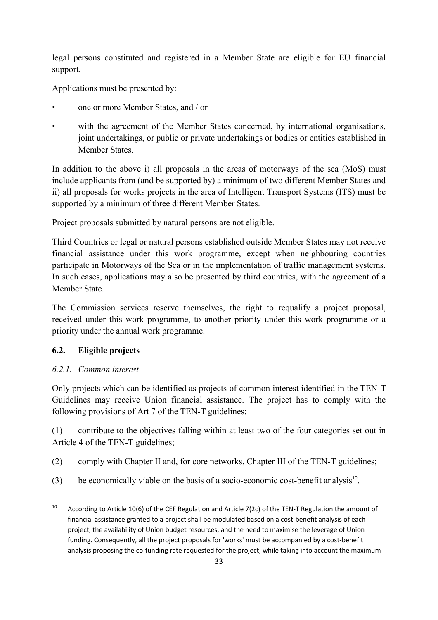legal persons constituted and registered in a Member State are eligible for EU financial support.

Applications must be presented by:

- one or more Member States, and / or
- with the agreement of the Member States concerned, by international organisations, joint undertakings, or public or private undertakings or bodies or entities established in Member States.

In addition to the above i) all proposals in the areas of motorways of the sea (MoS) must include applicants from (and be supported by) a minimum of two different Member States and ii) all proposals for works projects in the area of Intelligent Transport Systems (ITS) must be supported by a minimum of three different Member States.

Project proposals submitted by natural persons are not eligible.

Third Countries or legal or natural persons established outside Member States may not receive financial assistance under this work programme, except when neighbouring countries participate in Motorways of the Sea or in the implementation of traffic management systems. In such cases, applications may also be presented by third countries, with the agreement of a Member State.

The Commission services reserve themselves, the right to requalify a project proposal, received under this work programme, to another priority under this work programme or a priority under the annual work programme.

# **6.2. Eligible projects**

# *6.2.1. Common interest*

Only projects which can be identified as projects of common interest identified in the TEN-T Guidelines may receive Union financial assistance. The project has to comply with the following provisions of Art 7 of the TEN-T guidelines:

(1) contribute to the objectives falling within at least two of the four categories set out in Article 4 of the TEN-T guidelines;

- (2) comply with Chapter II and, for core networks, Chapter III of the TEN-T guidelines;
- (3) be economically viable on the basis of a socio-economic cost-benefit analysis<sup>10</sup>,

 $10$ According to Article 10(6) of the CEF Regulation and Article 7(2c) of the TEN-T Regulation the amount of financial assistance granted to a project shall be modulated based on a cost-benefit analysis of each project, the availability of Union budget resources, and the need to maximise the leverage of Union funding. Consequently, all the project proposals for 'works' must be accompanied by a cost-benefit analysis proposing the co-funding rate requested for the project, while taking into account the maximum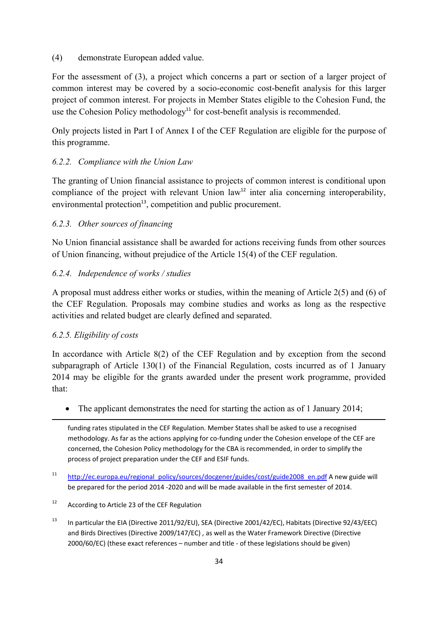#### (4) demonstrate European added value.

For the assessment of (3), a project which concerns a part or section of a larger project of common interest may be covered by a socio-economic cost-benefit analysis for this larger project of common interest. For projects in Member States eligible to the Cohesion Fund, the use the Cohesion Policy methodology<sup>11</sup> for cost-benefit analysis is recommended.

Only projects listed in Part I of Annex I of the CEF Regulation are eligible for the purpose of this programme.

### *6.2.2. Compliance with the Union Law*

The granting of Union financial assistance to projects of common interest is conditional upon compliance of the project with relevant Union  $law<sup>12</sup>$  inter alia concerning interoperability, environmental protection<sup>13</sup>, competition and public procurement.

### *6.2.3. Other sources of financing*

No Union financial assistance shall be awarded for actions receiving funds from other sources of Union financing, without prejudice of the Article 15(4) of the CEF regulation.

### *6.2.4. Independence of works / studies*

A proposal must address either works or studies, within the meaning of Article 2(5) and (6) of the CEF Regulation. Proposals may combine studies and works as long as the respective activities and related budget are clearly defined and separated.

### *6.2.5. Eligibility of costs*

**.** 

In accordance with Article 8(2) of the CEF Regulation and by exception from the second subparagraph of Article 130(1) of the Financial Regulation, costs incurred as of 1 January 2014 may be eligible for the grants awarded under the present work programme, provided that:

• The applicant demonstrates the need for starting the action as of 1 January 2014;

funding rates stipulated in the CEF Regulation. Member States shall be asked to use a recognised methodology. As far as the actions applying for co-funding under the Cohesion envelope of the CEF are concerned, the Cohesion Policy methodology for the CBA is recommended, in order to simplify the process of project preparation under the CEF and ESIF funds.

- <sup>11</sup> http://ec.europa.eu/regional\_policy/sources/docgener/guides/cost/guide2008\_en.pdf A new guide will be prepared for the period 2014 -2020 and will be made available in the first semester of 2014.
- 12 According to Article 23 of the CEF Regulation
- <sup>13</sup> In particular the EIA (Directive 2011/92/EU), SEA (Directive 2001/42/EC), Habitats (Directive 92/43/EEC) and Birds Directives (Directive 2009/147/EC) , as well as the Water Framework Directive (Directive 2000/60/EC) (these exact references – number and title - of these legislations should be given)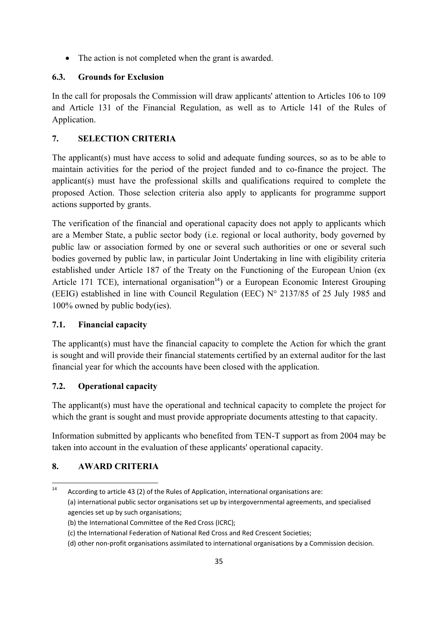• The action is not completed when the grant is awarded.

## **6.3. Grounds for Exclusion**

In the call for proposals the Commission will draw applicants' attention to Articles 106 to 109 and Article 131 of the Financial Regulation, as well as to Article 141 of the Rules of Application.

# **7. SELECTION CRITERIA**

The applicant(s) must have access to solid and adequate funding sources, so as to be able to maintain activities for the period of the project funded and to co-finance the project. The applicant(s) must have the professional skills and qualifications required to complete the proposed Action. Those selection criteria also apply to applicants for programme support actions supported by grants.

The verification of the financial and operational capacity does not apply to applicants which are a Member State, a public sector body (i.e. regional or local authority, body governed by public law or association formed by one or several such authorities or one or several such bodies governed by public law, in particular Joint Undertaking in line with eligibility criteria established under Article 187 of the Treaty on the Functioning of the European Union (ex Article 171 TCE), international organisation<sup>14</sup>) or a European Economic Interest Grouping (EEIG) established in line with Council Regulation (EEC) N° 2137/85 of 25 July 1985 and 100% owned by public body(ies).

# **7.1. Financial capacity**

The applicant(s) must have the financial capacity to complete the Action for which the grant is sought and will provide their financial statements certified by an external auditor for the last financial year for which the accounts have been closed with the application.

### **7.2. Operational capacity**

The applicant(s) must have the operational and technical capacity to complete the project for which the grant is sought and must provide appropriate documents attesting to that capacity.

Information submitted by applicants who benefited from TEN-T support as from 2004 may be taken into account in the evaluation of these applicants' operational capacity.

# **8. AWARD CRITERIA**

<sup>14</sup> 14 According to article 43 (2) of the Rules of Application, international organisations are: (a) international public sector organisations set up by intergovernmental agreements, and specialised agencies set up by such organisations;

<sup>(</sup>b) the International Committee of the Red Cross (ICRC);

<sup>(</sup>c) the International Federation of National Red Cross and Red Crescent Societies;

<sup>(</sup>d) other non-profit organisations assimilated to international organisations by a Commission decision.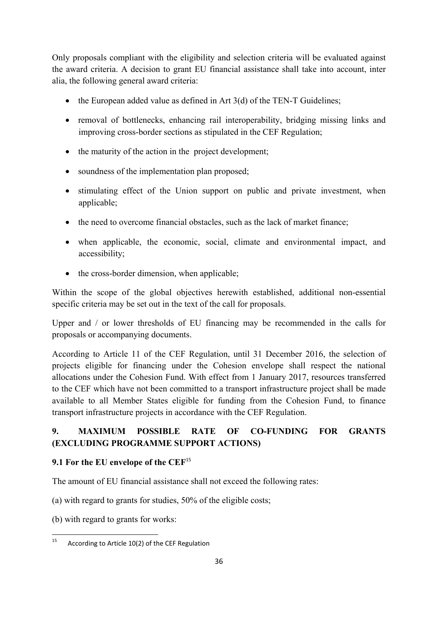Only proposals compliant with the eligibility and selection criteria will be evaluated against the award criteria. A decision to grant EU financial assistance shall take into account, inter alia, the following general award criteria:

- the European added value as defined in Art  $3(d)$  of the TEN-T Guidelines;
- removal of bottlenecks, enhancing rail interoperability, bridging missing links and improving cross-border sections as stipulated in the CEF Regulation;
- the maturity of the action in the project development;
- soundness of the implementation plan proposed;
- stimulating effect of the Union support on public and private investment, when applicable;
- the need to overcome financial obstacles, such as the lack of market finance;
- when applicable, the economic, social, climate and environmental impact, and accessibility;
- the cross-border dimension, when applicable:

Within the scope of the global objectives herewith established, additional non-essential specific criteria may be set out in the text of the call for proposals.

Upper and / or lower thresholds of EU financing may be recommended in the calls for proposals or accompanying documents.

According to Article 11 of the CEF Regulation, until 31 December 2016, the selection of projects eligible for financing under the Cohesion envelope shall respect the national allocations under the Cohesion Fund. With effect from 1 January 2017, resources transferred to the CEF which have not been committed to a transport infrastructure project shall be made available to all Member States eligible for funding from the Cohesion Fund, to finance transport infrastructure projects in accordance with the CEF Regulation.

# **9. MAXIMUM POSSIBLE RATE OF CO-FUNDING FOR GRANTS (EXCLUDING PROGRAMME SUPPORT ACTIONS)**

# **9.1 For the EU envelope of the CEF**<sup>15</sup>

The amount of EU financial assistance shall not exceed the following rates:

(a) with regard to grants for studies, 50% of the eligible costs;

(b) with regard to grants for works:

<sup>15</sup> According to Article 10(2) of the CEF Regulation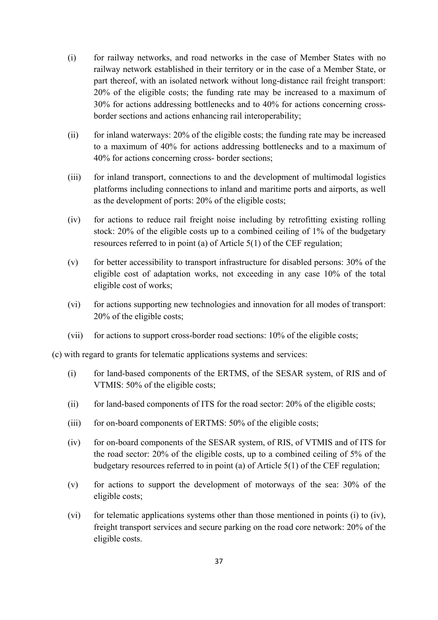- (i) for railway networks, and road networks in the case of Member States with no railway network established in their territory or in the case of a Member State, or part thereof, with an isolated network without long-distance rail freight transport: 20% of the eligible costs; the funding rate may be increased to a maximum of 30% for actions addressing bottlenecks and to 40% for actions concerning crossborder sections and actions enhancing rail interoperability;
- (ii) for inland waterways: 20% of the eligible costs; the funding rate may be increased to a maximum of 40% for actions addressing bottlenecks and to a maximum of 40% for actions concerning cross- border sections;
- (iii) for inland transport, connections to and the development of multimodal logistics platforms including connections to inland and maritime ports and airports, as well as the development of ports: 20% of the eligible costs;
- (iv) for actions to reduce rail freight noise including by retrofitting existing rolling stock: 20% of the eligible costs up to a combined ceiling of 1% of the budgetary resources referred to in point (a) of Article 5(1) of the CEF regulation;
- $(v)$  for better accessibility to transport infrastructure for disabled persons: 30% of the eligible cost of adaptation works, not exceeding in any case 10% of the total eligible cost of works;
- (vi) for actions supporting new technologies and innovation for all modes of transport: 20% of the eligible costs;
- (vii) for actions to support cross-border road sections: 10% of the eligible costs;

(c) with regard to grants for telematic applications systems and services:

- (i) for land-based components of the ERTMS, of the SESAR system, of RIS and of VTMIS: 50% of the eligible costs;
- (ii) for land-based components of ITS for the road sector:  $20\%$  of the eligible costs;
- (iii) for on-board components of ERTMS: 50% of the eligible costs;
- (iv) for on-board components of the SESAR system, of RIS, of VTMIS and of ITS for the road sector: 20% of the eligible costs, up to a combined ceiling of 5% of the budgetary resources referred to in point (a) of Article 5(1) of the CEF regulation;
- (v) for actions to support the development of motorways of the sea: 30% of the eligible costs;
- (vi) for telematic applications systems other than those mentioned in points (i) to (iv), freight transport services and secure parking on the road core network: 20% of the eligible costs.